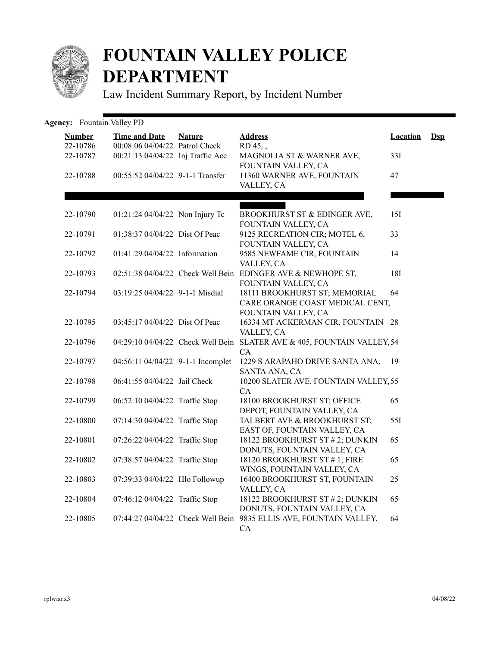

## **FOUNTAIN VALLEY POLICE DEPARTMENT**

Law Incident Summary Report, by Incident Number

| <b>Agency:</b> Fountain Valley PD |                                                        |               |                                                                                         |                 |                |
|-----------------------------------|--------------------------------------------------------|---------------|-----------------------------------------------------------------------------------------|-----------------|----------------|
| <b>Number</b><br>22-10786         | <b>Time and Date</b><br>00:08:06 04/04/22 Patrol Check | <b>Nature</b> | <b>Address</b><br>RD 45,,                                                               | <b>Location</b> | $\mathbf{Dsp}$ |
| 22-10787                          | 00:21:13 04/04/22 Inj Traffic Acc                      |               | MAGNOLIA ST & WARNER AVE,<br>FOUNTAIN VALLEY, CA                                        | 33I             |                |
| 22-10788                          | 00:55:52 04/04/22 9-1-1 Transfer                       |               | 11360 WARNER AVE, FOUNTAIN<br>VALLEY, CA                                                | 47              |                |
|                                   |                                                        |               |                                                                                         |                 |                |
| 22-10790                          | 01:21:24 04/04/22 Non Injury Tc                        |               | BROOKHURST ST & EDINGER AVE,<br>FOUNTAIN VALLEY, CA                                     | 15I             |                |
| 22-10791                          | 01:38:37 04/04/22 Dist Of Peac                         |               | 9125 RECREATION CIR; MOTEL 6,<br>FOUNTAIN VALLEY, CA                                    | 33              |                |
| 22-10792                          | 01:41:29 04/04/22 Information                          |               | 9585 NEWFAME CIR, FOUNTAIN<br>VALLEY, CA                                                | 14              |                |
| 22-10793                          |                                                        |               | 02:51:38 04/04/22 Check Well Bein EDINGER AVE & NEWHOPE ST,<br>FOUNTAIN VALLEY, CA      | <b>18I</b>      |                |
| 22-10794                          | 03:19:25 04/04/22 9-1-1 Misdial                        |               | 18111 BROOKHURST ST; MEMORIAL<br>CARE ORANGE COAST MEDICAL CENT,<br>FOUNTAIN VALLEY, CA | 64              |                |
| 22-10795                          | 03:45:17 04/04/22 Dist Of Peac                         |               | 16334 MT ACKERMAN CIR, FOUNTAIN 28<br>VALLEY, CA                                        |                 |                |
| 22-10796                          |                                                        |               | 04:29:10 04/04/22 Check Well Bein SLATER AVE & 405, FOUNTAIN VALLEY, 54<br>CA           |                 |                |
| 22-10797                          | 04:56:11 04/04/22 9-1-1 Incomplet                      |               | 1229 S ARAPAHO DRIVE SANTA ANA,<br>SANTA ANA, CA                                        | -19             |                |
| 22-10798                          | 06:41:55 04/04/22 Jail Check                           |               | 10200 SLATER AVE, FOUNTAIN VALLEY, 55<br>CA                                             |                 |                |
| 22-10799                          | 06:52:10 04/04/22 Traffic Stop                         |               | 18100 BROOKHURST ST; OFFICE<br>DEPOT, FOUNTAIN VALLEY, CA                               | 65              |                |
| 22-10800                          | 07:14:30 04/04/22 Traffic Stop                         |               | TALBERT AVE & BROOKHURST ST;<br>EAST OF, FOUNTAIN VALLEY, CA                            | 55I             |                |
| 22-10801                          | 07:26:22 04/04/22 Traffic Stop                         |               | 18122 BROOKHURST ST # 2; DUNKIN<br>DONUTS, FOUNTAIN VALLEY, CA                          | 65              |                |
| 22-10802                          | 07:38:57 04/04/22 Traffic Stop                         |               | 18120 BROOKHURST ST #1; FIRE<br>WINGS, FOUNTAIN VALLEY, CA                              | 65              |                |
| 22-10803                          | 07:39:33 04/04/22 Hlo Followup                         |               | 16400 BROOKHURST ST, FOUNTAIN<br>VALLEY, CA                                             | 25              |                |
| 22-10804                          | 07:46:12 04/04/22 Traffic Stop                         |               | 18122 BROOKHURST ST # 2; DUNKIN<br>DONUTS, FOUNTAIN VALLEY, CA                          | 65              |                |
| 22-10805                          |                                                        |               | 07:44:27 04/04/22 Check Well Bein 9835 ELLIS AVE, FOUNTAIN VALLEY,<br>CA                | 64              |                |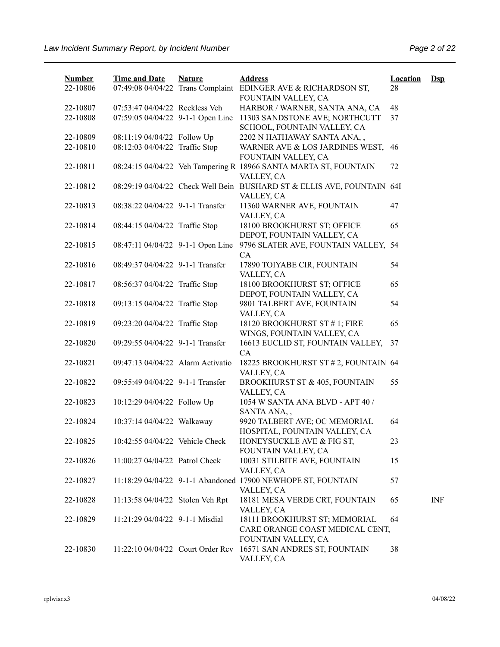| <b>Number</b> | <b>Time and Date</b>              | <b>Nature</b> | <b>Address</b>                                                                        | <b>Location</b> | $\mathbf{Dsp}$ |
|---------------|-----------------------------------|---------------|---------------------------------------------------------------------------------------|-----------------|----------------|
| 22-10806      |                                   |               | 07:49:08 04/04/22 Trans Complaint EDINGER AVE & RICHARDSON ST,<br>FOUNTAIN VALLEY, CA | 28              |                |
| 22-10807      | 07:53:47 04/04/22 Reckless Veh    |               | HARBOR / WARNER, SANTA ANA, CA                                                        | 48              |                |
| 22-10808      | 07:59:05 04/04/22 9-1-1 Open Line |               | 11303 SANDSTONE AVE; NORTHCUTT                                                        | 37              |                |
|               |                                   |               | SCHOOL, FOUNTAIN VALLEY, CA                                                           |                 |                |
| 22-10809      | 08:11:19 04/04/22 Follow Up       |               | 2202 N HATHAWAY SANTA ANA,,                                                           |                 |                |
| 22-10810      | 08:12:03 04/04/22 Traffic Stop    |               | WARNER AVE & LOS JARDINES WEST,                                                       | 46              |                |
|               |                                   |               | FOUNTAIN VALLEY, CA                                                                   |                 |                |
| 22-10811      |                                   |               | 08:24:15 04/04/22 Veh Tampering R 18966 SANTA MARTA ST, FOUNTAIN                      | 72              |                |
|               |                                   |               | VALLEY, CA                                                                            |                 |                |
| 22-10812      |                                   |               | 08:29:19 04/04/22 Check Well Bein BUSHARD ST & ELLIS AVE, FOUNTAIN 64I                |                 |                |
|               |                                   |               | VALLEY, CA                                                                            |                 |                |
| 22-10813      | 08:38:22 04/04/22 9-1-1 Transfer  |               | 11360 WARNER AVE, FOUNTAIN                                                            | 47              |                |
|               |                                   |               | VALLEY, CA                                                                            |                 |                |
| 22-10814      | 08:44:15 04/04/22 Traffic Stop    |               | 18100 BROOKHURST ST; OFFICE                                                           | 65              |                |
|               |                                   |               | DEPOT, FOUNTAIN VALLEY, CA                                                            |                 |                |
| 22-10815      | 08:47:11 04/04/22 9-1-1 Open Line |               | 9796 SLATER AVE, FOUNTAIN VALLEY, 54                                                  |                 |                |
|               |                                   |               | CA                                                                                    |                 |                |
| 22-10816      | 08:49:37 04/04/22 9-1-1 Transfer  |               | 17890 TOIYABE CIR, FOUNTAIN                                                           | 54              |                |
|               |                                   |               | VALLEY, CA                                                                            |                 |                |
| 22-10817      | 08:56:37 04/04/22 Traffic Stop    |               | 18100 BROOKHURST ST; OFFICE                                                           | 65              |                |
|               |                                   |               | DEPOT, FOUNTAIN VALLEY, CA                                                            |                 |                |
| 22-10818      | 09:13:15 04/04/22 Traffic Stop    |               | 9801 TALBERT AVE, FOUNTAIN                                                            | 54              |                |
| 22-10819      |                                   |               | VALLEY, CA<br>18120 BROOKHURST ST #1; FIRE                                            | 65              |                |
|               | 09:23:20 04/04/22 Traffic Stop    |               | WINGS, FOUNTAIN VALLEY, CA                                                            |                 |                |
| 22-10820      | 09:29:55 04/04/22 9-1-1 Transfer  |               | 16613 EUCLID ST, FOUNTAIN VALLEY,                                                     | 37              |                |
|               |                                   |               | CA                                                                                    |                 |                |
| 22-10821      | 09:47:13 04/04/22 Alarm Activatio |               | 18225 BROOKHURST ST # 2, FOUNTAIN 64                                                  |                 |                |
|               |                                   |               | VALLEY, CA                                                                            |                 |                |
| 22-10822      | 09:55:49 04/04/22 9-1-1 Transfer  |               | BROOKHURST ST & 405, FOUNTAIN                                                         | 55              |                |
|               |                                   |               | VALLEY, CA                                                                            |                 |                |
| 22-10823      | 10:12:29 04/04/22 Follow Up       |               | 1054 W SANTA ANA BLVD - APT 40 /                                                      |                 |                |
|               |                                   |               | SANTA ANA,,                                                                           |                 |                |
| 22-10824      | 10:37:14 04/04/22 Walkaway        |               | 9920 TALBERT AVE; OC MEMORIAL                                                         | 64              |                |
|               |                                   |               | HOSPITAL, FOUNTAIN VALLEY, CA                                                         |                 |                |
| 22-10825      | 10:42:55 04/04/22 Vehicle Check   |               | HONEYSUCKLE AVE & FIG ST,                                                             | 23              |                |
|               |                                   |               | FOUNTAIN VALLEY, CA                                                                   |                 |                |
| 22-10826      | 11:00:27 04/04/22 Patrol Check    |               | 10031 STILBITE AVE, FOUNTAIN                                                          | 15              |                |
|               |                                   |               | VALLEY, CA                                                                            |                 |                |
| 22-10827      |                                   |               | 11:18:29 04/04/22 9-1-1 Abandoned 17900 NEWHOPE ST, FOUNTAIN                          | 57              |                |
|               |                                   |               | VALLEY, CA                                                                            |                 |                |
| 22-10828      | 11:13:58 04/04/22 Stolen Veh Rpt  |               | 18181 MESA VERDE CRT, FOUNTAIN                                                        | 65              | <b>INF</b>     |
|               |                                   |               | VALLEY, CA                                                                            |                 |                |
| 22-10829      | 11:21:29 04/04/22 9-1-1 Misdial   |               | 18111 BROOKHURST ST; MEMORIAL                                                         | 64              |                |
|               |                                   |               | CARE ORANGE COAST MEDICAL CENT,                                                       |                 |                |
|               |                                   |               | FOUNTAIN VALLEY, CA                                                                   |                 |                |
| 22-10830      | 11:22:10 04/04/22 Court Order Rcv |               | 16571 SAN ANDRES ST, FOUNTAIN                                                         | 38              |                |
|               |                                   |               | VALLEY, CA                                                                            |                 |                |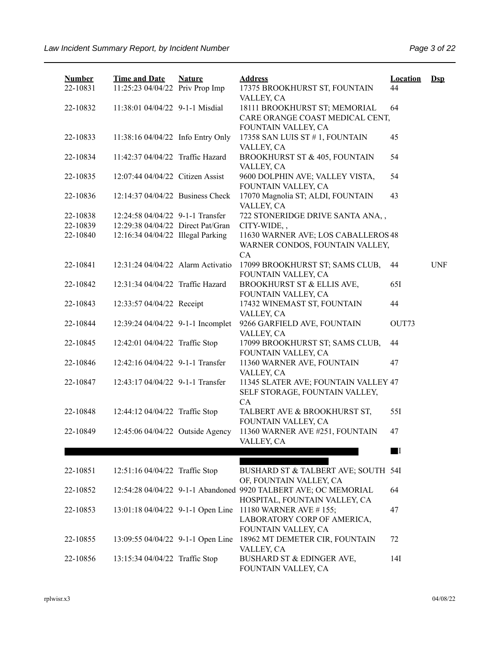| <b>Number</b>        | <b>Time and Date</b>                                                  | <b>Nature</b> | <b>Address</b>                                                                             | <b>Location</b> | $\mathbf{Dsp}$ |
|----------------------|-----------------------------------------------------------------------|---------------|--------------------------------------------------------------------------------------------|-----------------|----------------|
| 22-10831             | 11:25:23 04/04/22 Priv Prop Imp                                       |               | 17375 BROOKHURST ST, FOUNTAIN<br>VALLEY, CA                                                | 44              |                |
| 22-10832             | 11:38:01 04/04/22 9-1-1 Misdial                                       |               | 18111 BROOKHURST ST; MEMORIAL                                                              | 64              |                |
|                      |                                                                       |               | CARE ORANGE COAST MEDICAL CENT,                                                            |                 |                |
| 22-10833             | 11:38:16 04/04/22 Info Entry Only                                     |               | FOUNTAIN VALLEY, CA<br>17358 SAN LUIS ST # 1, FOUNTAIN                                     | 45              |                |
|                      |                                                                       |               | VALLEY, CA                                                                                 |                 |                |
| 22-10834             | 11:42:37 04/04/22 Traffic Hazard                                      |               | BROOKHURST ST & 405, FOUNTAIN                                                              | 54              |                |
| 22-10835             | 12:07:44 04/04/22 Citizen Assist                                      |               | VALLEY, CA                                                                                 |                 |                |
|                      |                                                                       |               | 9600 DOLPHIN AVE; VALLEY VISTA,<br>FOUNTAIN VALLEY, CA                                     | 54              |                |
| 22-10836             | 12:14:37 04/04/22 Business Check                                      |               | 17070 Magnolia ST; ALDI, FOUNTAIN                                                          | 43              |                |
|                      |                                                                       |               | VALLEY, CA                                                                                 |                 |                |
| 22-10838<br>22-10839 | 12:24:58 04/04/22 9-1-1 Transfer<br>12:29:38 04/04/22 Direct Pat/Gran |               | 722 STONERIDGE DRIVE SANTA ANA,,<br>CITY-WIDE,,                                            |                 |                |
| 22-10840             | 12:16:34 04/04/22 Illegal Parking                                     |               | 11630 WARNER AVE; LOS CABALLEROS 48                                                        |                 |                |
|                      |                                                                       |               | WARNER CONDOS, FOUNTAIN VALLEY,                                                            |                 |                |
|                      |                                                                       |               | CA                                                                                         |                 |                |
| 22-10841             | 12:31:24 04/04/22 Alarm Activatio                                     |               | 17099 BROOKHURST ST; SAMS CLUB,                                                            | 44              | <b>UNF</b>     |
|                      |                                                                       |               | FOUNTAIN VALLEY, CA                                                                        |                 |                |
| 22-10842             | 12:31:34 04/04/22 Traffic Hazard                                      |               | BROOKHURST ST & ELLIS AVE,<br>FOUNTAIN VALLEY, CA                                          | 65I             |                |
| 22-10843             | 12:33:57 04/04/22 Receipt                                             |               | 17432 WINEMAST ST, FOUNTAIN                                                                | 44              |                |
|                      |                                                                       |               | VALLEY, CA                                                                                 |                 |                |
| 22-10844             | 12:39:24 04/04/22 9-1-1 Incomplet                                     |               | 9266 GARFIELD AVE, FOUNTAIN                                                                | OUT73           |                |
|                      |                                                                       |               | VALLEY, CA                                                                                 |                 |                |
| 22-10845             | 12:42:01 04/04/22 Traffic Stop                                        |               | 17099 BROOKHURST ST; SAMS CLUB,                                                            | 44              |                |
| 22-10846             | 12:42:16 04/04/22 9-1-1 Transfer                                      |               | FOUNTAIN VALLEY, CA<br>11360 WARNER AVE, FOUNTAIN                                          | 47              |                |
|                      |                                                                       |               | VALLEY, CA                                                                                 |                 |                |
| 22-10847             | 12:43:17 04/04/22 9-1-1 Transfer                                      |               | 11345 SLATER AVE; FOUNTAIN VALLEY 47                                                       |                 |                |
|                      |                                                                       |               | SELF STORAGE, FOUNTAIN VALLEY,                                                             |                 |                |
|                      |                                                                       |               | CA                                                                                         |                 |                |
| 22-10848             | 12:44:12 04/04/22 Traffic Stop                                        |               | TALBERT AVE & BROOKHURST ST,<br>FOUNTAIN VALLEY, CA                                        | 55I             |                |
| 22-10849             | 12:45:06 04/04/22 Outside Agency                                      |               | 11360 WARNER AVE #251, FOUNTAIN                                                            | 47              |                |
|                      |                                                                       |               | VALLEY, CA                                                                                 |                 |                |
|                      |                                                                       |               |                                                                                            | $\blacksquare$  |                |
|                      |                                                                       |               |                                                                                            |                 |                |
| 22-10851             | 12:51:16 04/04/22 Traffic Stop                                        |               | BUSHARD ST & TALBERT AVE; SOUTH 54I                                                        |                 |                |
| 22-10852             |                                                                       |               | OF, FOUNTAIN VALLEY, CA<br>12:54:28 04/04/22 9-1-1 Abandoned 9920 TALBERT AVE; OC MEMORIAL | 64              |                |
|                      |                                                                       |               | HOSPITAL, FOUNTAIN VALLEY, CA                                                              |                 |                |
| 22-10853             | 13:01:18 04/04/22 9-1-1 Open Line                                     |               | 11180 WARNER AVE #155;                                                                     | 47              |                |
|                      |                                                                       |               | LABORATORY CORP OF AMERICA,                                                                |                 |                |
|                      |                                                                       |               | FOUNTAIN VALLEY, CA                                                                        |                 |                |
| 22-10855             | 13:09:55 04/04/22 9-1-1 Open Line                                     |               | 18962 MT DEMETER CIR, FOUNTAIN                                                             | 72              |                |
|                      |                                                                       |               | VALLEY, CA                                                                                 |                 |                |
| 22-10856             | 13:15:34 04/04/22 Traffic Stop                                        |               | BUSHARD ST & EDINGER AVE,<br>FOUNTAIN VALLEY, CA                                           | 14I             |                |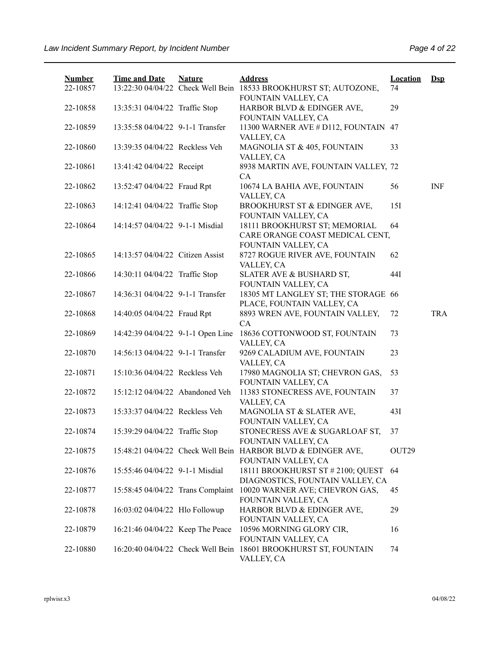| <b>Number</b><br>22-10857 | <b>Time and Date</b>              | <b>Nature</b> | <b>Address</b><br>13:22:30 04/04/22 Check Well Bein 18533 BROOKHURST ST; AUTOZONE,  | <b>Location</b><br>74 | $Dep$      |
|---------------------------|-----------------------------------|---------------|-------------------------------------------------------------------------------------|-----------------------|------------|
| 22-10858                  | 13:35:31 04/04/22 Traffic Stop    |               | FOUNTAIN VALLEY, CA<br>HARBOR BLVD & EDINGER AVE,<br>FOUNTAIN VALLEY, CA            | 29                    |            |
| 22-10859                  | 13:35:58 04/04/22 9-1-1 Transfer  |               | 11300 WARNER AVE # D112, FOUNTAIN 47<br>VALLEY, CA                                  |                       |            |
| 22-10860                  | 13:39:35 04/04/22 Reckless Veh    |               | MAGNOLIA ST & 405, FOUNTAIN<br>VALLEY, CA                                           | 33                    |            |
| 22-10861                  | 13:41:42 04/04/22 Receipt         |               | 8938 MARTIN AVE, FOUNTAIN VALLEY, 72<br>CA                                          |                       |            |
| 22-10862                  | 13:52:47 04/04/22 Fraud Rpt       |               | 10674 LA BAHIA AVE, FOUNTAIN<br>VALLEY, CA                                          | 56                    | <b>INF</b> |
| 22-10863                  | 14:12:41 04/04/22 Traffic Stop    |               | BROOKHURST ST & EDINGER AVE,<br>FOUNTAIN VALLEY, CA                                 | 15I                   |            |
| 22-10864                  | 14:14:57 04/04/22 9-1-1 Misdial   |               | 18111 BROOKHURST ST; MEMORIAL<br>CARE ORANGE COAST MEDICAL CENT,                    | 64                    |            |
| 22-10865                  | 14:13:57 04/04/22 Citizen Assist  |               | FOUNTAIN VALLEY, CA<br>8727 ROGUE RIVER AVE, FOUNTAIN<br>VALLEY, CA                 | 62                    |            |
| 22-10866                  | 14:30:11 04/04/22 Traffic Stop    |               | SLATER AVE & BUSHARD ST,<br>FOUNTAIN VALLEY, CA                                     | 44I                   |            |
| 22-10867                  | 14:36:31 04/04/22 9-1-1 Transfer  |               | 18305 MT LANGLEY ST; THE STORAGE 66<br>PLACE, FOUNTAIN VALLEY, CA                   |                       |            |
| 22-10868                  | 14:40:05 04/04/22 Fraud Rpt       |               | 8893 WREN AVE, FOUNTAIN VALLEY,<br>CA                                               | 72                    | <b>TRA</b> |
| 22-10869                  | 14:42:39 04/04/22 9-1-1 Open Line |               | 18636 COTTONWOOD ST, FOUNTAIN<br>VALLEY, CA                                         | 73                    |            |
| 22-10870                  | 14:56:13 04/04/22 9-1-1 Transfer  |               | 9269 CALADIUM AVE, FOUNTAIN<br>VALLEY, CA                                           | 23                    |            |
| 22-10871                  | 15:10:36 04/04/22 Reckless Veh    |               | 17980 MAGNOLIA ST; CHEVRON GAS,<br>FOUNTAIN VALLEY, CA                              | 53                    |            |
| 22-10872                  | 15:12:12 04/04/22 Abandoned Veh   |               | 11383 STONECRESS AVE, FOUNTAIN<br>VALLEY, CA                                        | 37                    |            |
| 22-10873                  | 15:33:37 04/04/22 Reckless Veh    |               | MAGNOLIA ST & SLATER AVE,<br>FOUNTAIN VALLEY, CA                                    | 43I                   |            |
| 22-10874                  | 15:39:29 04/04/22 Traffic Stop    |               | STONECRESS AVE & SUGARLOAF ST,<br>FOUNTAIN VALLEY, CA                               | 37                    |            |
| 22-10875                  |                                   |               | 15:48:21 04/04/22 Check Well Bein HARBOR BLVD & EDINGER AVE,<br>FOUNTAIN VALLEY, CA | OUT <sub>29</sub>     |            |
| 22-10876                  | 15:55:46 04/04/22 9-1-1 Misdial   |               | 18111 BROOKHURST ST # 2100; QUEST 64<br>DIAGNOSTICS, FOUNTAIN VALLEY, CA            |                       |            |
| 22-10877                  | 15:58:45 04/04/22 Trans Complaint |               | 10020 WARNER AVE; CHEVRON GAS,<br>FOUNTAIN VALLEY, CA                               | 45                    |            |
| 22-10878                  | 16:03:02 04/04/22 Hlo Followup    |               | HARBOR BLVD & EDINGER AVE,<br>FOUNTAIN VALLEY, CA                                   | 29                    |            |
| 22-10879                  | 16:21:46 04/04/22 Keep The Peace  |               | 10596 MORNING GLORY CIR,<br>FOUNTAIN VALLEY, CA                                     | 16                    |            |
| 22-10880                  |                                   |               | 16:20:40 04/04/22 Check Well Bein 18601 BROOKHURST ST, FOUNTAIN<br>VALLEY, CA       | 74                    |            |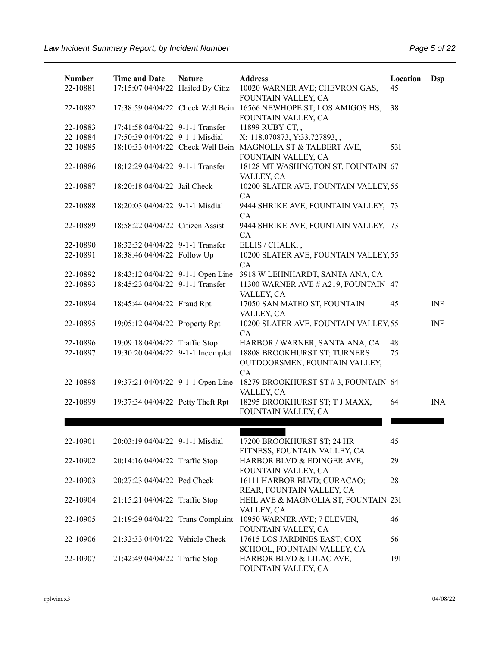| <b>Number</b><br>22-10881 | <b>Time and Date</b><br>17:15:07 04/04/22 Hailed By Citiz | <b>Nature</b> | <b>Address</b><br>10020 WARNER AVE; CHEVRON GAS,                                                                    | <b>Location</b><br>45 | $Ds$       |
|---------------------------|-----------------------------------------------------------|---------------|---------------------------------------------------------------------------------------------------------------------|-----------------------|------------|
| 22-10882                  |                                                           |               | FOUNTAIN VALLEY, CA<br>17:38:59 04/04/22 Check Well Bein 16566 NEWHOPE ST; LOS AMIGOS HS,<br>FOUNTAIN VALLEY, CA    | 38                    |            |
| 22-10883                  | 17:41:58 04/04/22 9-1-1 Transfer                          |               | 11899 RUBY CT,,                                                                                                     |                       |            |
| 22-10884<br>22-10885      | 17:50:39 04/04/22 9-1-1 Misdial                           |               | X:-118.070873, Y:33.727893,,<br>18:10:33 04/04/22 Check Well Bein MAGNOLIA ST & TALBERT AVE,<br>FOUNTAIN VALLEY, CA | 53I                   |            |
| 22-10886                  | 18:12:29 04/04/22 9-1-1 Transfer                          |               | 18128 MT WASHINGTON ST, FOUNTAIN 67<br>VALLEY, CA                                                                   |                       |            |
| 22-10887                  | 18:20:18 04/04/22 Jail Check                              |               | 10200 SLATER AVE, FOUNTAIN VALLEY, 55<br>CA                                                                         |                       |            |
| 22-10888                  | 18:20:03 04/04/22 9-1-1 Misdial                           |               | 9444 SHRIKE AVE, FOUNTAIN VALLEY, 73<br>CA                                                                          |                       |            |
| 22-10889                  | 18:58:22 04/04/22 Citizen Assist                          |               | 9444 SHRIKE AVE, FOUNTAIN VALLEY, 73<br>CA                                                                          |                       |            |
| 22-10890                  | 18:32:32 04/04/22 9-1-1 Transfer                          |               | ELLIS / CHALK,,                                                                                                     |                       |            |
| 22-10891                  | 18:38:46 04/04/22 Follow Up                               |               | 10200 SLATER AVE, FOUNTAIN VALLEY, 55<br>CA                                                                         |                       |            |
| 22-10892                  | 18:43:12 04/04/22 9-1-1 Open Line                         |               | 3918 W LEHNHARDT, SANTA ANA, CA                                                                                     |                       |            |
| 22-10893                  | 18:45:23 04/04/22 9-1-1 Transfer                          |               | 11300 WARNER AVE # A219, FOUNTAIN 47<br>VALLEY, CA                                                                  |                       |            |
| 22-10894                  | 18:45:44 04/04/22 Fraud Rpt                               |               | 17050 SAN MATEO ST, FOUNTAIN<br>VALLEY, CA                                                                          | 45                    | <b>INF</b> |
| 22-10895                  | 19:05:12 04/04/22 Property Rpt                            |               | 10200 SLATER AVE, FOUNTAIN VALLEY, 55<br>CA                                                                         |                       | <b>INF</b> |
| 22-10896                  | 19:09:18 04/04/22 Traffic Stop                            |               | HARBOR / WARNER, SANTA ANA, CA                                                                                      | 48                    |            |
| 22-10897                  | 19:30:20 04/04/22 9-1-1 Incomplet                         |               | 18808 BROOKHURST ST; TURNERS<br>OUTDOORSMEN, FOUNTAIN VALLEY,<br>CA                                                 | 75                    |            |
| 22-10898                  | 19:37:21 04/04/22 9-1-1 Open Line                         |               | 18279 BROOKHURST ST #3, FOUNTAIN 64<br>VALLEY, CA                                                                   |                       |            |
| 22-10899                  | 19:37:34 04/04/22 Petty Theft Rpt                         |               | 18295 BROOKHURST ST; T J MAXX,<br>FOUNTAIN VALLEY, CA                                                               | 64                    | <b>INA</b> |
|                           |                                                           |               |                                                                                                                     |                       |            |
|                           |                                                           |               |                                                                                                                     |                       |            |
| 22-10901                  | 20:03:19 04/04/22 9-1-1 Misdial                           |               | 17200 BROOKHURST ST; 24 HR<br>FITNESS, FOUNTAIN VALLEY, CA                                                          | 45                    |            |
| 22-10902                  | 20:14:16 04/04/22 Traffic Stop                            |               | HARBOR BLVD & EDINGER AVE,<br>FOUNTAIN VALLEY, CA                                                                   | 29                    |            |
| 22-10903                  | 20:27:23 04/04/22 Ped Check                               |               | 16111 HARBOR BLVD; CURACAO;<br>REAR, FOUNTAIN VALLEY, CA                                                            | 28                    |            |
| 22-10904                  | 21:15:21 04/04/22 Traffic Stop                            |               | HEIL AVE & MAGNOLIA ST, FOUNTAIN 23I<br>VALLEY, CA                                                                  |                       |            |
| 22-10905                  | 21:19:29 04/04/22 Trans Complaint                         |               | 10950 WARNER AVE; 7 ELEVEN,<br>FOUNTAIN VALLEY, CA                                                                  | 46                    |            |
| 22-10906                  | 21:32:33 04/04/22 Vehicle Check                           |               | 17615 LOS JARDINES EAST; COX<br>SCHOOL, FOUNTAIN VALLEY, CA                                                         | 56                    |            |
| 22-10907                  | 21:42:49 04/04/22 Traffic Stop                            |               | HARBOR BLVD & LILAC AVE,<br>FOUNTAIN VALLEY, CA                                                                     | 191                   |            |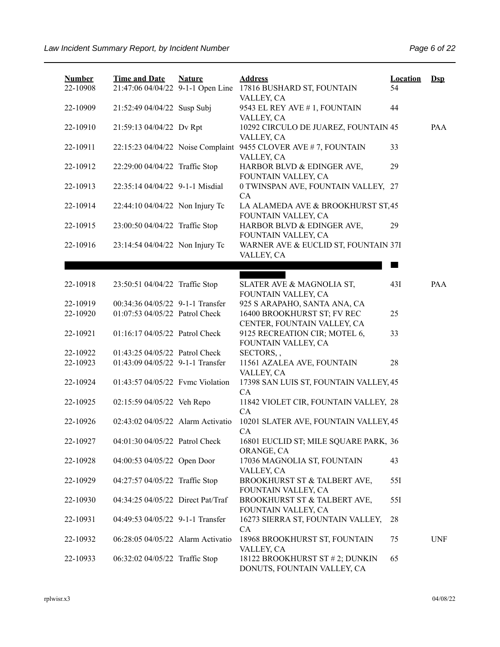| <b>Number</b><br>22-10908 | <b>Time and Date</b><br>21:47:06 04/04/22 9-1-1 Open Line | <b>Nature</b> | <b>Address</b><br>17816 BUSHARD ST, FOUNTAIN<br>VALLEY, CA     | <b>Location</b><br>54 | $Ds$       |
|---------------------------|-----------------------------------------------------------|---------------|----------------------------------------------------------------|-----------------------|------------|
| 22-10909                  | 21:52:49 04/04/22 Susp Subj                               |               | 9543 EL REY AVE # 1, FOUNTAIN<br>VALLEY, CA                    | 44                    |            |
| 22-10910                  | 21:59:13 04/04/22 Dv Rpt                                  |               | 10292 CIRCULO DE JUAREZ, FOUNTAIN 45<br>VALLEY, CA             |                       | PAA        |
| 22-10911                  | 22:15:23 04/04/22 Noise Complaint                         |               | 9455 CLOVER AVE #7, FOUNTAIN<br>VALLEY, CA                     | 33                    |            |
| 22-10912                  | 22:29:00 04/04/22 Traffic Stop                            |               | HARBOR BLVD & EDINGER AVE,<br>FOUNTAIN VALLEY, CA              | 29                    |            |
| 22-10913                  | 22:35:14 04/04/22 9-1-1 Misdial                           |               | 0 TWINSPAN AVE, FOUNTAIN VALLEY, 27<br>CA                      |                       |            |
| 22-10914                  | 22:44:10 04/04/22 Non Injury Tc                           |               | LA ALAMEDA AVE & BROOKHURST ST, 45<br>FOUNTAIN VALLEY, CA      |                       |            |
| 22-10915                  | 23:00:50 04/04/22 Traffic Stop                            |               | HARBOR BLVD & EDINGER AVE,<br>FOUNTAIN VALLEY, CA              | 29                    |            |
| 22-10916                  | 23:14:54 04/04/22 Non Injury Tc                           |               | WARNER AVE & EUCLID ST, FOUNTAIN 37I<br>VALLEY, CA             |                       |            |
|                           |                                                           |               |                                                                |                       |            |
| 22-10918                  | 23:50:51 04/04/22 Traffic Stop                            |               | SLATER AVE & MAGNOLIA ST,<br>FOUNTAIN VALLEY, CA               | 43I                   | PA A       |
| 22-10919                  | 00:34:36 04/05/22 9-1-1 Transfer                          |               | 925 S ARAPAHO, SANTA ANA, CA                                   |                       |            |
| 22-10920                  | 01:07:53 04/05/22 Patrol Check                            |               | 16400 BROOKHURST ST; FV REC<br>CENTER, FOUNTAIN VALLEY, CA     | 25                    |            |
| 22-10921                  | 01:16:17 04/05/22 Patrol Check                            |               | 9125 RECREATION CIR; MOTEL 6,<br>FOUNTAIN VALLEY, CA           | 33                    |            |
| 22-10922                  | 01:43:25 04/05/22 Patrol Check                            |               | SECTORS,,                                                      |                       |            |
| 22-10923                  | 01:43:09 04/05/22 9-1-1 Transfer                          |               | 11561 AZALEA AVE, FOUNTAIN<br>VALLEY, CA                       | 28                    |            |
| 22-10924                  | 01:43:57 04/05/22 Fvmc Violation                          |               | 17398 SAN LUIS ST, FOUNTAIN VALLEY, 45<br>CA                   |                       |            |
| 22-10925                  | 02:15:59 04/05/22 Veh Repo                                |               | 11842 VIOLET CIR, FOUNTAIN VALLEY, 28<br>CA                    |                       |            |
| 22-10926                  | 02:43:02 04/05/22 Alarm Activatio                         |               | 10201 SLATER AVE, FOUNTAIN VALLEY, 45<br>CA                    |                       |            |
| 22-10927                  | 04:01:30 04/05/22 Patrol Check                            |               | 16801 EUCLID ST; MILE SQUARE PARK, 36<br>ORANGE, CA            |                       |            |
| 22-10928                  | 04:00:53 04/05/22 Open Door                               |               | 17036 MAGNOLIA ST, FOUNTAIN<br>VALLEY, CA                      | 43                    |            |
| 22-10929                  | 04:27:57 04/05/22 Traffic Stop                            |               | BROOKHURST ST & TALBERT AVE,<br>FOUNTAIN VALLEY, CA            | 55I                   |            |
| 22-10930                  | 04:34:25 04/05/22 Direct Pat/Traf                         |               | BROOKHURST ST & TALBERT AVE,<br>FOUNTAIN VALLEY, CA            | 55I                   |            |
| 22-10931                  | 04:49:53 04/05/22 9-1-1 Transfer                          |               | 16273 SIERRA ST, FOUNTAIN VALLEY,<br><b>CA</b>                 | 28                    |            |
| 22-10932                  | 06:28:05 04/05/22 Alarm Activatio                         |               | 18968 BROOKHURST ST, FOUNTAIN<br>VALLEY, CA                    | 75                    | <b>UNF</b> |
| 22-10933                  | 06:32:02 04/05/22 Traffic Stop                            |               | 18122 BROOKHURST ST # 2; DUNKIN<br>DONUTS, FOUNTAIN VALLEY, CA | 65                    |            |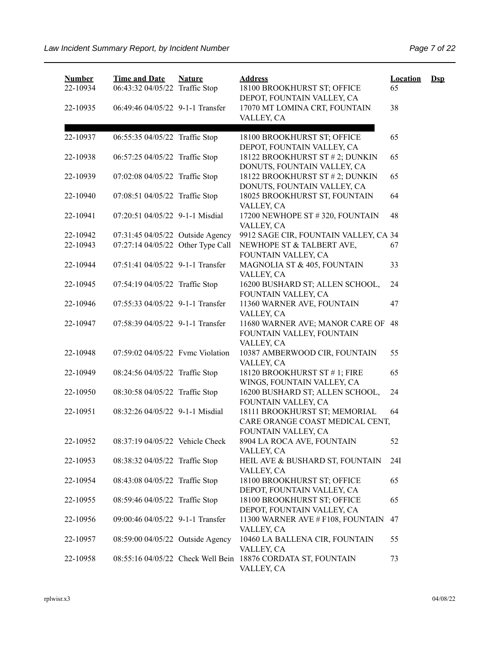| <b>Number</b><br>22-10934 | <b>Time and Date</b><br>06:43:32 04/05/22 Traffic Stop | <b>Nature</b> | <b>Address</b><br>18100 BROOKHURST ST; OFFICE<br>DEPOT, FOUNTAIN VALLEY, CA             | <b>Location</b><br>65 | $\mathbf{Dsp}$ |
|---------------------------|--------------------------------------------------------|---------------|-----------------------------------------------------------------------------------------|-----------------------|----------------|
| 22-10935                  | 06:49:46 04/05/22 9-1-1 Transfer                       |               | 17070 MT LOMINA CRT, FOUNTAIN<br>VALLEY, CA                                             | 38                    |                |
| 22-10937                  | 06:55:35 04/05/22 Traffic Stop                         |               | 18100 BROOKHURST ST; OFFICE<br>DEPOT, FOUNTAIN VALLEY, CA                               | 65                    |                |
| 22-10938                  | 06:57:25 04/05/22 Traffic Stop                         |               | 18122 BROOKHURST ST # 2; DUNKIN<br>DONUTS, FOUNTAIN VALLEY, CA                          | 65                    |                |
| 22-10939                  | 07:02:08 04/05/22 Traffic Stop                         |               | 18122 BROOKHURST ST # 2; DUNKIN<br>DONUTS, FOUNTAIN VALLEY, CA                          | 65                    |                |
| 22-10940                  | 07:08:51 04/05/22 Traffic Stop                         |               | 18025 BROOKHURST ST, FOUNTAIN<br>VALLEY, CA                                             | 64                    |                |
| 22-10941                  | 07:20:51 04/05/22 9-1-1 Misdial                        |               | 17200 NEWHOPE ST #320, FOUNTAIN<br>VALLEY, CA                                           | 48                    |                |
| 22-10942                  | 07:31:45 04/05/22 Outside Agency                       |               | 9912 SAGE CIR, FOUNTAIN VALLEY, CA 34                                                   |                       |                |
| 22-10943                  | 07:27:14 04/05/22 Other Type Call                      |               | NEWHOPE ST & TALBERT AVE,<br>FOUNTAIN VALLEY, CA                                        | 67                    |                |
| 22-10944                  | 07:51:41 04/05/22 9-1-1 Transfer                       |               | MAGNOLIA ST & 405, FOUNTAIN<br>VALLEY, CA                                               | 33                    |                |
| 22-10945                  | 07:54:19 04/05/22 Traffic Stop                         |               | 16200 BUSHARD ST; ALLEN SCHOOL,<br>FOUNTAIN VALLEY, CA                                  | 24                    |                |
| 22-10946                  | 07:55:33 04/05/22 9-1-1 Transfer                       |               | 11360 WARNER AVE, FOUNTAIN<br>VALLEY, CA                                                | 47                    |                |
| 22-10947                  | 07:58:39 04/05/22 9-1-1 Transfer                       |               | 11680 WARNER AVE; MANOR CARE OF 48<br>FOUNTAIN VALLEY, FOUNTAIN<br>VALLEY, CA           |                       |                |
| 22-10948                  | 07:59:02 04/05/22 Fvmc Violation                       |               | 10387 AMBERWOOD CIR, FOUNTAIN<br>VALLEY, CA                                             | 55                    |                |
| 22-10949                  | 08:24:56 04/05/22 Traffic Stop                         |               | 18120 BROOKHURST ST #1; FIRE<br>WINGS, FOUNTAIN VALLEY, CA                              | 65                    |                |
| 22-10950                  | 08:30:58 04/05/22 Traffic Stop                         |               | 16200 BUSHARD ST; ALLEN SCHOOL,<br>FOUNTAIN VALLEY, CA                                  | 24                    |                |
| 22-10951                  | 08:32:26 04/05/22 9-1-1 Misdial                        |               | 18111 BROOKHURST ST; MEMORIAL<br>CARE ORANGE COAST MEDICAL CENT,<br>FOUNTAIN VALLEY, CA | 64                    |                |
| 22-10952                  | 08:37:19 04/05/22 Vehicle Check                        |               | 8904 LA ROCA AVE, FOUNTAIN<br>VALLEY, CA                                                | 52                    |                |
| 22-10953                  | 08:38:32 04/05/22 Traffic Stop                         |               | HEIL AVE & BUSHARD ST, FOUNTAIN<br>VALLEY, CA                                           | 24I                   |                |
| 22-10954                  | 08:43:08 04/05/22 Traffic Stop                         |               | 18100 BROOKHURST ST; OFFICE<br>DEPOT, FOUNTAIN VALLEY, CA                               | 65                    |                |
| 22-10955                  | 08:59:46 04/05/22 Traffic Stop                         |               | 18100 BROOKHURST ST; OFFICE<br>DEPOT, FOUNTAIN VALLEY, CA                               | 65                    |                |
| 22-10956                  | 09:00:46 04/05/22 9-1-1 Transfer                       |               | 11300 WARNER AVE # F108, FOUNTAIN<br>VALLEY, CA                                         | 47                    |                |
| 22-10957                  | 08:59:00 04/05/22 Outside Agency                       |               | 10460 LA BALLENA CIR, FOUNTAIN<br>VALLEY, CA                                            | 55                    |                |
| 22-10958                  |                                                        |               | 08:55:16 04/05/22 Check Well Bein 18876 CORDATA ST, FOUNTAIN<br>VALLEY, CA              | 73                    |                |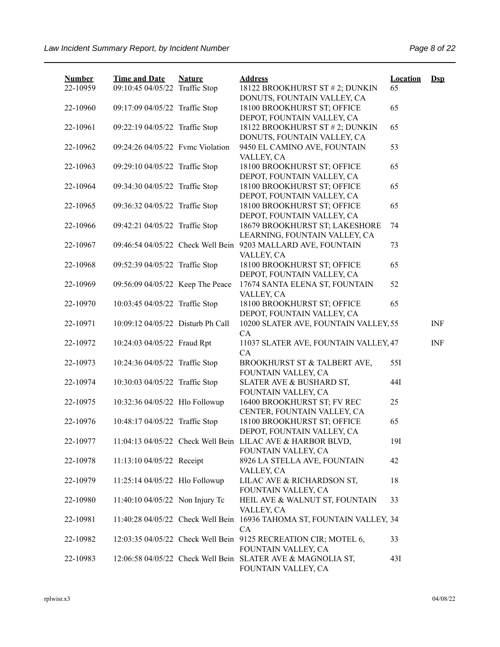| <b>Number</b> | <b>Time and Date</b>              | <b>Nature</b> | <b>Address</b>                                                                         | <b>Location</b> | $\mathbf{Dsp}$ |
|---------------|-----------------------------------|---------------|----------------------------------------------------------------------------------------|-----------------|----------------|
| 22-10959      | 09:10:45 04/05/22 Traffic Stop    |               | 18122 BROOKHURST ST # 2; DUNKIN<br>DONUTS, FOUNTAIN VALLEY, CA                         | 65              |                |
| 22-10960      | 09:17:09 04/05/22 Traffic Stop    |               | 18100 BROOKHURST ST; OFFICE<br>DEPOT, FOUNTAIN VALLEY, CA                              | 65              |                |
| 22-10961      | 09:22:19 04/05/22 Traffic Stop    |               | 18122 BROOKHURST ST # 2; DUNKIN<br>DONUTS, FOUNTAIN VALLEY, CA                         | 65              |                |
| 22-10962      | 09:24:26 04/05/22 Fvmc Violation  |               | 9450 EL CAMINO AVE, FOUNTAIN<br>VALLEY, CA                                             | 53              |                |
| 22-10963      | 09:29:10 04/05/22 Traffic Stop    |               | 18100 BROOKHURST ST; OFFICE<br>DEPOT, FOUNTAIN VALLEY, CA                              | 65              |                |
| 22-10964      | 09:34:30 04/05/22 Traffic Stop    |               | 18100 BROOKHURST ST; OFFICE<br>DEPOT, FOUNTAIN VALLEY, CA                              | 65              |                |
| 22-10965      | 09:36:32 04/05/22 Traffic Stop    |               | 18100 BROOKHURST ST; OFFICE<br>DEPOT, FOUNTAIN VALLEY, CA                              | 65              |                |
| 22-10966      | 09:42:21 04/05/22 Traffic Stop    |               | 18679 BROOKHURST ST; LAKESHORE<br>LEARNING, FOUNTAIN VALLEY, CA                        | 74              |                |
| 22-10967      | 09:46:54 04/05/22 Check Well Bein |               | 9203 MALLARD AVE, FOUNTAIN<br>VALLEY, CA                                               | 73              |                |
| 22-10968      | 09:52:39 04/05/22 Traffic Stop    |               | 18100 BROOKHURST ST; OFFICE<br>DEPOT, FOUNTAIN VALLEY, CA                              | 65              |                |
| 22-10969      | 09:56:09 04/05/22 Keep The Peace  |               | 17674 SANTA ELENA ST, FOUNTAIN<br>VALLEY, CA                                           | 52              |                |
| 22-10970      | 10:03:45 04/05/22 Traffic Stop    |               | 18100 BROOKHURST ST; OFFICE<br>DEPOT, FOUNTAIN VALLEY, CA                              | 65              |                |
| 22-10971      | 10:09:12 04/05/22 Disturb Ph Call |               | 10200 SLATER AVE, FOUNTAIN VALLEY, 55<br>CA                                            |                 | <b>INF</b>     |
| 22-10972      | 10:24:03 04/05/22 Fraud Rpt       |               | 11037 SLATER AVE, FOUNTAIN VALLEY, 47<br>CA                                            |                 | <b>INF</b>     |
| 22-10973      | 10:24:36 04/05/22 Traffic Stop    |               | BROOKHURST ST & TALBERT AVE,<br>FOUNTAIN VALLEY, CA                                    | 55I             |                |
| 22-10974      | 10:30:03 04/05/22 Traffic Stop    |               | SLATER AVE & BUSHARD ST,<br>FOUNTAIN VALLEY, CA                                        | 44I             |                |
| 22-10975      | 10:32:36 04/05/22 Hlo Followup    |               | 16400 BROOKHURST ST; FV REC<br>CENTER, FOUNTAIN VALLEY, CA                             | 25              |                |
| 22-10976      | 10:48:17 04/05/22 Traffic Stop    |               | 18100 BROOKHURST ST; OFFICE<br>DEPOT, FOUNTAIN VALLEY, CA                              | 65              |                |
| 22-10977      |                                   |               | 11:04:13 04/05/22 Check Well Bein LILAC AVE & HARBOR BLVD,<br>FOUNTAIN VALLEY, CA      | 191             |                |
| 22-10978      | 11:13:10 04/05/22 Receipt         |               | 8926 LA STELLA AVE, FOUNTAIN<br>VALLEY, CA                                             | 42              |                |
| 22-10979      | 11:25:14 04/05/22 Hlo Followup    |               | LILAC AVE & RICHARDSON ST,<br>FOUNTAIN VALLEY, CA                                      | 18              |                |
| 22-10980      | 11:40:10 04/05/22 Non Injury Tc   |               | HEIL AVE & WALNUT ST, FOUNTAIN<br>VALLEY, CA                                           | 33              |                |
| 22-10981      |                                   |               | 11:40:28 04/05/22 Check Well Bein 16936 TAHOMA ST, FOUNTAIN VALLEY, 34<br>CA           |                 |                |
| 22-10982      |                                   |               | 12:03:35 04/05/22 Check Well Bein 9125 RECREATION CIR; MOTEL 6,<br>FOUNTAIN VALLEY, CA | 33              |                |
| 22-10983      |                                   |               | 12:06:58 04/05/22 Check Well Bein SLATER AVE & MAGNOLIA ST,<br>FOUNTAIN VALLEY, CA     | 43I             |                |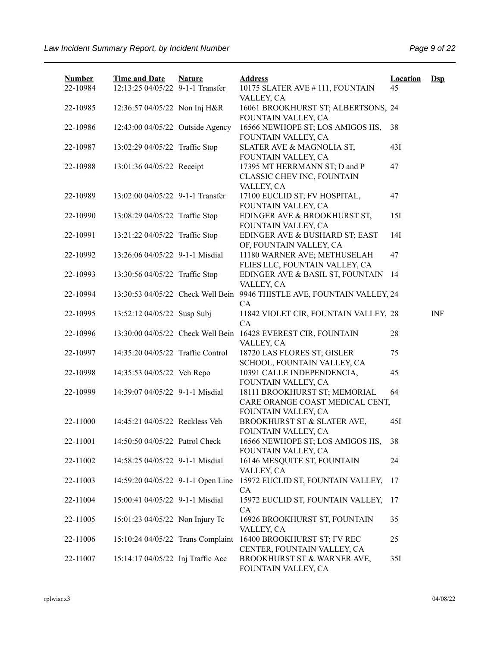| <b>Number</b><br>22-10984 | <b>Time and Date</b><br>12:13:25 04/05/22 9-1-1 Transfer | <b>Nature</b> | <b>Address</b><br>10175 SLATER AVE #111, FOUNTAIN                                       | <b>Location</b><br>45 | $\mathbf{Dsp}$ |
|---------------------------|----------------------------------------------------------|---------------|-----------------------------------------------------------------------------------------|-----------------------|----------------|
| 22-10985                  | 12:36:57 04/05/22 Non Inj H&R                            |               | VALLEY, CA<br>16061 BROOKHURST ST; ALBERTSONS, 24<br>FOUNTAIN VALLEY, CA                |                       |                |
| 22-10986                  | 12:43:00 04/05/22 Outside Agency                         |               | 16566 NEWHOPE ST; LOS AMIGOS HS,<br>FOUNTAIN VALLEY, CA                                 | 38                    |                |
| 22-10987                  | 13:02:29 04/05/22 Traffic Stop                           |               | SLATER AVE & MAGNOLIA ST,<br>FOUNTAIN VALLEY, CA                                        | 43I                   |                |
| 22-10988                  | 13:01:36 04/05/22 Receipt                                |               | 17395 MT HERRMANN ST; D and P<br>CLASSIC CHEV INC, FOUNTAIN<br>VALLEY, CA               | 47                    |                |
| 22-10989                  | 13:02:00 04/05/22 9-1-1 Transfer                         |               | 17100 EUCLID ST; FV HOSPITAL,<br>FOUNTAIN VALLEY, CA                                    | 47                    |                |
| 22-10990                  | 13:08:29 04/05/22 Traffic Stop                           |               | EDINGER AVE & BROOKHURST ST,<br>FOUNTAIN VALLEY, CA                                     | 151                   |                |
| 22-10991                  | 13:21:22 04/05/22 Traffic Stop                           |               | EDINGER AVE & BUSHARD ST; EAST<br>OF, FOUNTAIN VALLEY, CA                               | 14I                   |                |
| 22-10992                  | 13:26:06 04/05/22 9-1-1 Misdial                          |               | 11180 WARNER AVE; METHUSELAH<br>FLIES LLC, FOUNTAIN VALLEY, CA                          | 47                    |                |
| 22-10993                  | 13:30:56 04/05/22 Traffic Stop                           |               | EDINGER AVE & BASIL ST, FOUNTAIN<br>VALLEY, CA                                          | 14                    |                |
| 22-10994                  | 13:30:53 04/05/22 Check Well Bein                        |               | 9946 THISTLE AVE, FOUNTAIN VALLEY, 24<br><b>CA</b>                                      |                       |                |
| 22-10995                  | 13:52:12 04/05/22 Susp Subj                              |               | 11842 VIOLET CIR, FOUNTAIN VALLEY, 28<br>CA                                             |                       | <b>INF</b>     |
| 22-10996                  | 13:30:00 04/05/22 Check Well Bein                        |               | 16428 EVEREST CIR, FOUNTAIN<br>VALLEY, CA                                               | 28                    |                |
| 22-10997                  | 14:35:20 04/05/22 Traffic Control                        |               | 18720 LAS FLORES ST; GISLER<br>SCHOOL, FOUNTAIN VALLEY, CA                              | 75                    |                |
| 22-10998                  | 14:35:53 04/05/22 Veh Repo                               |               | 10391 CALLE INDEPENDENCIA,<br>FOUNTAIN VALLEY, CA                                       | 45                    |                |
| 22-10999                  | 14:39:07 04/05/22 9-1-1 Misdial                          |               | 18111 BROOKHURST ST; MEMORIAL<br>CARE ORANGE COAST MEDICAL CENT,<br>FOUNTAIN VALLEY, CA | 64                    |                |
| 22-11000                  | 14:45:21 04/05/22 Reckless Veh                           |               | BROOKHURST ST & SLATER AVE,<br>FOUNTAIN VALLEY, CA                                      | 45I                   |                |
| 22-11001                  | 14:50:50 04/05/22 Patrol Check                           |               | 16566 NEWHOPE ST; LOS AMIGOS HS,<br>FOUNTAIN VALLEY, CA                                 | 38                    |                |
| 22-11002                  | 14:58:25 04/05/22 9-1-1 Misdial                          |               | 16146 MESQUITE ST, FOUNTAIN<br>VALLEY, CA                                               | 24                    |                |
| 22-11003                  | 14:59:20 04/05/22 9-1-1 Open Line                        |               | 15972 EUCLID ST, FOUNTAIN VALLEY,<br>CA                                                 | 17                    |                |
| 22-11004                  | 15:00:41 04/05/22 9-1-1 Misdial                          |               | 15972 EUCLID ST, FOUNTAIN VALLEY,<br><b>CA</b>                                          | 17                    |                |
| 22-11005                  | 15:01:23 04/05/22 Non Injury Tc                          |               | 16926 BROOKHURST ST, FOUNTAIN<br>VALLEY, CA                                             | 35                    |                |
| 22-11006                  | 15:10:24 04/05/22 Trans Complaint                        |               | 16400 BROOKHURST ST; FV REC<br>CENTER, FOUNTAIN VALLEY, CA                              | 25                    |                |
| 22-11007                  | 15:14:17 04/05/22 Inj Traffic Acc                        |               | BROOKHURST ST & WARNER AVE,<br>FOUNTAIN VALLEY, CA                                      | 35I                   |                |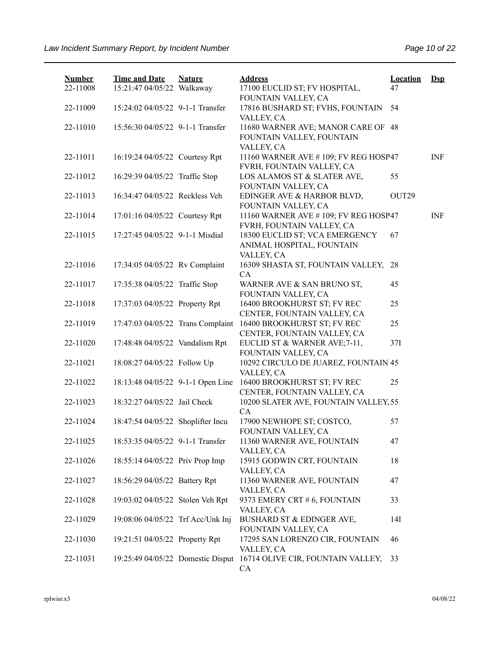| <b>Number</b> | <b>Time and Date</b>              | <b>Nature</b> | <b>Address</b>                                                                     | <b>Location</b> | <b>Dsp</b> |
|---------------|-----------------------------------|---------------|------------------------------------------------------------------------------------|-----------------|------------|
| 22-11008      | 15:21:47 04/05/22 Walkaway        |               | 17100 EUCLID ST; FV HOSPITAL,<br>FOUNTAIN VALLEY, CA                               | 47              |            |
| 22-11009      | 15:24:02 04/05/22 9-1-1 Transfer  |               | 17816 BUSHARD ST; FVHS, FOUNTAIN                                                   | 54              |            |
|               |                                   |               | VALLEY, CA                                                                         |                 |            |
| 22-11010      | 15:56:30 04/05/22 9-1-1 Transfer  |               | 11680 WARNER AVE; MANOR CARE OF 48<br>FOUNTAIN VALLEY, FOUNTAIN<br>VALLEY, CA      |                 |            |
| 22-11011      | 16:19:24 04/05/22 Courtesy Rpt    |               | 11160 WARNER AVE #109; FV REG HOSP47<br>FVRH, FOUNTAIN VALLEY, CA                  |                 | <b>INF</b> |
| 22-11012      | 16:29:39 04/05/22 Traffic Stop    |               | LOS ALAMOS ST & SLATER AVE,<br>FOUNTAIN VALLEY, CA                                 | 55              |            |
| 22-11013      | 16:34:47 04/05/22 Reckless Veh    |               | EDINGER AVE & HARBOR BLVD,<br>FOUNTAIN VALLEY, CA                                  | OUT29           |            |
| 22-11014      | 17:01:16 04/05/22 Courtesy Rpt    |               | 11160 WARNER AVE #109; FV REG HOSP47<br>FVRH, FOUNTAIN VALLEY, CA                  |                 | <b>INF</b> |
| 22-11015      | 17:27:45 04/05/22 9-1-1 Misdial   |               | 18300 EUCLID ST; VCA EMERGENCY<br>ANIMAL HOSPITAL, FOUNTAIN                        | 67              |            |
| 22-11016      | 17:34:05 04/05/22 Rv Complaint    |               | VALLEY, CA<br>16309 SHASTA ST, FOUNTAIN VALLEY,<br>CA                              | 28              |            |
| 22-11017      | 17:35:38 04/05/22 Traffic Stop    |               | WARNER AVE & SAN BRUNO ST,<br>FOUNTAIN VALLEY, CA                                  | 45              |            |
| 22-11018      | 17:37:03 04/05/22 Property Rpt    |               | 16400 BROOKHURST ST; FV REC                                                        | 25              |            |
| 22-11019      | 17:47:03 04/05/22 Trans Complaint |               | CENTER, FOUNTAIN VALLEY, CA<br>16400 BROOKHURST ST; FV REC                         | 25              |            |
| 22-11020      | 17:48:48 04/05/22 Vandalism Rpt   |               | CENTER, FOUNTAIN VALLEY, CA<br>EUCLID ST & WARNER AVE;7-11,<br>FOUNTAIN VALLEY, CA | 37I             |            |
| 22-11021      | 18:08:27 04/05/22 Follow Up       |               | 10292 CIRCULO DE JUAREZ, FOUNTAIN 45<br>VALLEY, CA                                 |                 |            |
| 22-11022      | 18:13:48 04/05/22 9-1-1 Open Line |               | 16400 BROOKHURST ST; FV REC<br>CENTER, FOUNTAIN VALLEY, CA                         | 25              |            |
| 22-11023      | 18:32:27 04/05/22 Jail Check      |               | 10200 SLATER AVE, FOUNTAIN VALLEY, 55                                              |                 |            |
| 22-11024      | 18:47:54 04/05/22 Shoplifter Incu |               | CA<br>17900 NEWHOPE ST; COSTCO,                                                    | 57              |            |
| 22-11025      | 18:53:35 04/05/22 9-1-1 Transfer  |               | FOUNTAIN VALLEY, CA<br>11360 WARNER AVE, FOUNTAIN                                  | 47              |            |
| 22-11026      | 18:55:14 04/05/22 Priv Prop Imp   |               | VALLEY, CA<br>15915 GODWIN CRT, FOUNTAIN                                           | 18              |            |
| 22-11027      | 18:56:29 04/05/22 Battery Rpt     |               | VALLEY, CA<br>11360 WARNER AVE, FOUNTAIN                                           | 47              |            |
| 22-11028      | 19:03:02 04/05/22 Stolen Veh Rpt  |               | VALLEY, CA<br>9373 EMERY CRT # 6, FOUNTAIN<br>VALLEY, CA                           | 33              |            |
| 22-11029      | 19:08:06 04/05/22 Trf Acc/Unk Inj |               | <b>BUSHARD ST &amp; EDINGER AVE,</b><br>FOUNTAIN VALLEY, CA                        | 14I             |            |
| 22-11030      | 19:21:51 04/05/22 Property Rpt    |               | 17295 SAN LORENZO CIR, FOUNTAIN<br>VALLEY, CA                                      | 46              |            |
| 22-11031      | 19:25:49 04/05/22 Domestic Disput |               | 16714 OLIVE CIR, FOUNTAIN VALLEY,<br>CA                                            | 33              |            |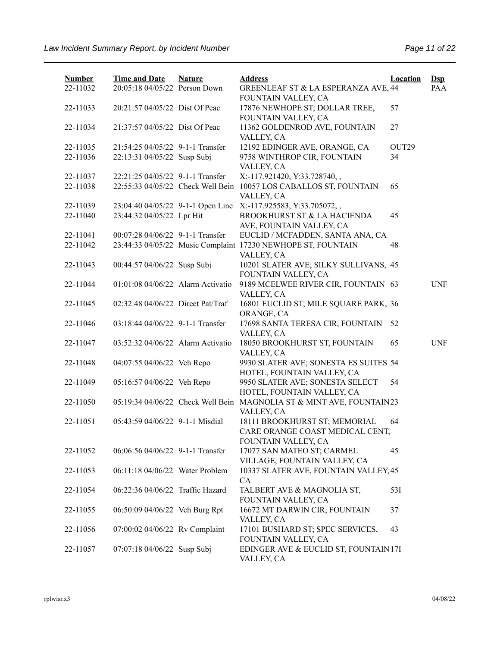| <b>Number</b> | <b>Time and Date</b>              | <b>Nature</b> | <b>Address</b>                                                 | <b>Location</b>   | $\mathbf{Dsp}$ |
|---------------|-----------------------------------|---------------|----------------------------------------------------------------|-------------------|----------------|
| 22-11032      | 20:05:18 04/05/22 Person Down     |               | GREENLEAF ST & LA ESPERANZA AVE, 44<br>FOUNTAIN VALLEY, CA     |                   | PAA            |
| 22-11033      | 20:21:57 04/05/22 Dist Of Peac    |               | 17876 NEWHOPE ST; DOLLAR TREE,                                 | 57                |                |
|               |                                   |               | FOUNTAIN VALLEY, CA                                            |                   |                |
| 22-11034      | 21:37:57 04/05/22 Dist Of Peac    |               | 11362 GOLDENROD AVE, FOUNTAIN<br>VALLEY, CA                    | 27                |                |
| 22-11035      | 21:54:25 04/05/22 9-1-1 Transfer  |               | 12192 EDINGER AVE, ORANGE, CA                                  | OUT <sub>29</sub> |                |
| 22-11036      | 22:13:31 04/05/22 Susp Subj       |               | 9758 WINTHROP CIR, FOUNTAIN                                    | 34                |                |
|               |                                   |               | VALLEY, CA                                                     |                   |                |
| 22-11037      | 22:21:25 04/05/22 9-1-1 Transfer  |               | X:-117.921420, Y:33.728740, ,                                  |                   |                |
| 22-11038      | 22:55:33 04/05/22 Check Well Bein |               | 10057 LOS CABALLOS ST, FOUNTAIN<br>VALLEY, CA                  | 65                |                |
| 22-11039      |                                   |               | 23:04:40 04/05/22 9-1-1 Open Line X:-117.925583, Y:33.705072,, |                   |                |
| 22-11040      | 23:44:32 04/05/22 Lpr Hit         |               | BROOKHURST ST & LA HACIENDA                                    | 45                |                |
|               |                                   |               | AVE, FOUNTAIN VALLEY, CA                                       |                   |                |
| 22-11041      | 00:07:28 04/06/22 9-1-1 Transfer  |               | EUCLID / MCFADDEN, SANTA ANA, CA                               |                   |                |
| 22-11042      |                                   |               | 23:44:33 04/05/22 Music Complaint 17230 NEWHOPE ST, FOUNTAIN   | 48                |                |
|               |                                   |               | VALLEY, CA                                                     |                   |                |
| 22-11043      | 00:44:57 04/06/22 Susp Subj       |               | 10201 SLATER AVE; SILKY SULLIVANS, 45                          |                   |                |
|               |                                   |               | FOUNTAIN VALLEY, CA                                            |                   |                |
| 22-11044      | 01:01:08 04/06/22 Alarm Activatio |               | 9189 MCELWEE RIVER CIR, FOUNTAIN 63                            |                   | <b>UNF</b>     |
|               |                                   |               | VALLEY, CA                                                     |                   |                |
| 22-11045      | 02:32:48 04/06/22 Direct Pat/Traf |               | 16801 EUCLID ST; MILE SQUARE PARK, 36<br>ORANGE, CA            |                   |                |
| 22-11046      | 03:18:44 04/06/22 9-1-1 Transfer  |               | 17698 SANTA TERESA CIR, FOUNTAIN                               | 52                |                |
|               |                                   |               | VALLEY, CA                                                     |                   |                |
| 22-11047      | 03:52:32 04/06/22 Alarm Activatio |               | 18050 BROOKHURST ST, FOUNTAIN                                  | 65                | <b>UNF</b>     |
|               |                                   |               | VALLEY, CA                                                     |                   |                |
| 22-11048      | 04:07:55 04/06/22 Veh Repo        |               | 9930 SLATER AVE; SONESTA ES SUITES 54                          |                   |                |
|               |                                   |               | HOTEL, FOUNTAIN VALLEY, CA                                     |                   |                |
| 22-11049      | 05:16:57 04/06/22 Veh Repo        |               | 9950 SLATER AVE; SONESTA SELECT                                | 54                |                |
|               | 05:19:34 04/06/22 Check Well Bein |               | HOTEL, FOUNTAIN VALLEY, CA                                     |                   |                |
| 22-11050      |                                   |               | MAGNOLIA ST & MINT AVE, FOUNTAIN23<br>VALLEY, CA               |                   |                |
| 22-11051      | 05:43:59 04/06/22 9-1-1 Misdial   |               | 18111 BROOKHURST ST; MEMORIAL                                  | 64                |                |
|               |                                   |               | CARE ORANGE COAST MEDICAL CENT,                                |                   |                |
|               |                                   |               | FOUNTAIN VALLEY, CA                                            |                   |                |
| 22-11052      | 06:06:56 04/06/22 9-1-1 Transfer  |               | 17077 SAN MATEO ST; CARMEL                                     | 45                |                |
|               |                                   |               | VILLAGE, FOUNTAIN VALLEY, CA                                   |                   |                |
| 22-11053      | 06:11:18 04/06/22 Water Problem   |               | 10337 SLATER AVE, FOUNTAIN VALLEY, 45                          |                   |                |
|               |                                   |               | CA                                                             |                   |                |
| 22-11054      | 06:22:36 04/06/22 Traffic Hazard  |               | TALBERT AVE & MAGNOLIA ST,                                     | 53I               |                |
|               |                                   |               | FOUNTAIN VALLEY, CA                                            |                   |                |
| 22-11055      | 06:50:09 04/06/22 Veh Burg Rpt    |               | 16672 MT DARWIN CIR, FOUNTAIN                                  | 37                |                |
|               |                                   |               | VALLEY, CA                                                     |                   |                |
| 22-11056      | 07:00:02 04/06/22 Rv Complaint    |               | 17101 BUSHARD ST; SPEC SERVICES,                               | 43                |                |
|               |                                   |               | FOUNTAIN VALLEY, CA                                            |                   |                |
| 22-11057      | 07:07:18 04/06/22 Susp Subj       |               | EDINGER AVE & EUCLID ST, FOUNTAIN 17I<br>VALLEY, CA            |                   |                |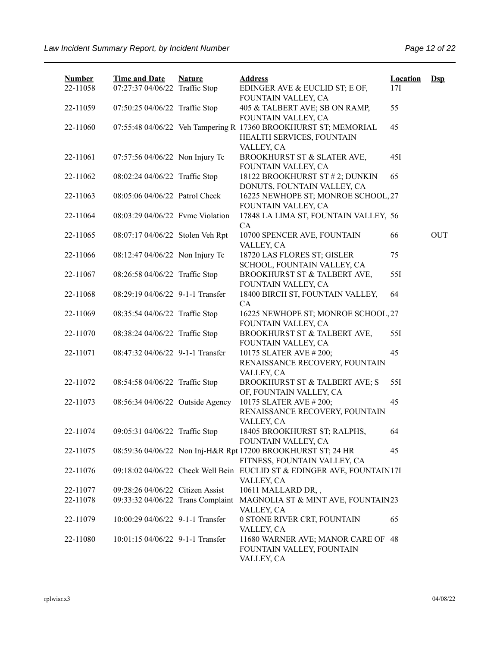| <b>Number</b><br>22-11058 | <b>Time and Date</b><br>07:27:37 04/06/22 Traffic Stop | <b>Nature</b> | <b>Address</b><br>EDINGER AVE & EUCLID ST; E OF,<br>FOUNTAIN VALLEY, CA                                    | <b>Location</b><br>17I | $\mathbf{Dsp}$ |
|---------------------------|--------------------------------------------------------|---------------|------------------------------------------------------------------------------------------------------------|------------------------|----------------|
| 22-11059                  | 07:50:25 04/06/22 Traffic Stop                         |               | 405 & TALBERT AVE; SB ON RAMP,<br>FOUNTAIN VALLEY, CA                                                      | 55                     |                |
| 22-11060                  |                                                        |               | 07:55:48 04/06/22 Veh Tampering R 17360 BROOKHURST ST; MEMORIAL<br>HEALTH SERVICES, FOUNTAIN<br>VALLEY, CA | 45                     |                |
| 22-11061                  | 07:57:56 04/06/22 Non Injury Tc                        |               | BROOKHURST ST & SLATER AVE,<br>FOUNTAIN VALLEY, CA                                                         | 45I                    |                |
| 22-11062                  | 08:02:24 04/06/22 Traffic Stop                         |               | 18122 BROOKHURST ST # 2; DUNKIN<br>DONUTS, FOUNTAIN VALLEY, CA                                             | 65                     |                |
| 22-11063                  | 08:05:06 04/06/22 Patrol Check                         |               | 16225 NEWHOPE ST; MONROE SCHOOL, 27<br>FOUNTAIN VALLEY, CA                                                 |                        |                |
| 22-11064                  | 08:03:29 04/06/22 Fvmc Violation                       |               | 17848 LA LIMA ST, FOUNTAIN VALLEY, 56<br>CA                                                                |                        |                |
| 22-11065                  | 08:07:17 04/06/22 Stolen Veh Rpt                       |               | 10700 SPENCER AVE, FOUNTAIN<br>VALLEY, CA                                                                  | 66                     | OUT            |
| 22-11066                  | 08:12:47 04/06/22 Non Injury Tc                        |               | 18720 LAS FLORES ST; GISLER<br>SCHOOL, FOUNTAIN VALLEY, CA                                                 | 75                     |                |
| 22-11067                  | 08:26:58 04/06/22 Traffic Stop                         |               | BROOKHURST ST & TALBERT AVE,<br>FOUNTAIN VALLEY, CA                                                        | 551                    |                |
| 22-11068                  | 08:29:19 04/06/22 9-1-1 Transfer                       |               | 18400 BIRCH ST, FOUNTAIN VALLEY,<br>CA                                                                     | 64                     |                |
| 22-11069                  | 08:35:54 04/06/22 Traffic Stop                         |               | 16225 NEWHOPE ST; MONROE SCHOOL, 27<br>FOUNTAIN VALLEY, CA                                                 |                        |                |
| 22-11070                  | 08:38:24 04/06/22 Traffic Stop                         |               | BROOKHURST ST & TALBERT AVE,<br>FOUNTAIN VALLEY, CA                                                        | 55I                    |                |
| 22-11071                  | 08:47:32 04/06/22 9-1-1 Transfer                       |               | 10175 SLATER AVE #200;<br>RENAISSANCE RECOVERY, FOUNTAIN<br>VALLEY, CA                                     | 45                     |                |
| 22-11072                  | 08:54:58 04/06/22 Traffic Stop                         |               | BROOKHURST ST & TALBERT AVE; S<br>OF, FOUNTAIN VALLEY, CA                                                  | 55I                    |                |
| 22-11073                  | 08:56:34 04/06/22 Outside Agency                       |               | 10175 SLATER AVE #200;<br>RENAISSANCE RECOVERY, FOUNTAIN<br>VALLEY, CA                                     | 45                     |                |
| 22-11074                  | 09:05:31 04/06/22 Traffic Stop                         |               | 18405 BROOKHURST ST; RALPHS,<br>FOUNTAIN VALLEY, CA                                                        | 64                     |                |
| 22-11075                  |                                                        |               | 08:59:36 04/06/22 Non Inj-H&R Rpt 17200 BROOKHURST ST; 24 HR<br>FITNESS, FOUNTAIN VALLEY, CA               | 45                     |                |
| 22-11076                  |                                                        |               | 09:18:02 04/06/22 Check Well Bein EUCLID ST & EDINGER AVE, FOUNTAIN17I<br>VALLEY, CA                       |                        |                |
| 22-11077                  | 09:28:26 04/06/22 Citizen Assist                       |               | 10611 MALLARD DR,,                                                                                         |                        |                |
| 22-11078                  | 09:33:32 04/06/22 Trans Complaint                      |               | MAGNOLIA ST & MINT AVE, FOUNTAIN23<br>VALLEY, CA                                                           |                        |                |
| 22-11079                  | 10:00:29 04/06/22 9-1-1 Transfer                       |               | 0 STONE RIVER CRT, FOUNTAIN<br>VALLEY, CA                                                                  | 65                     |                |
| 22-11080                  | 10:01:15 04/06/22 9-1-1 Transfer                       |               | 11680 WARNER AVE; MANOR CARE OF 48<br>FOUNTAIN VALLEY, FOUNTAIN<br>VALLEY, CA                              |                        |                |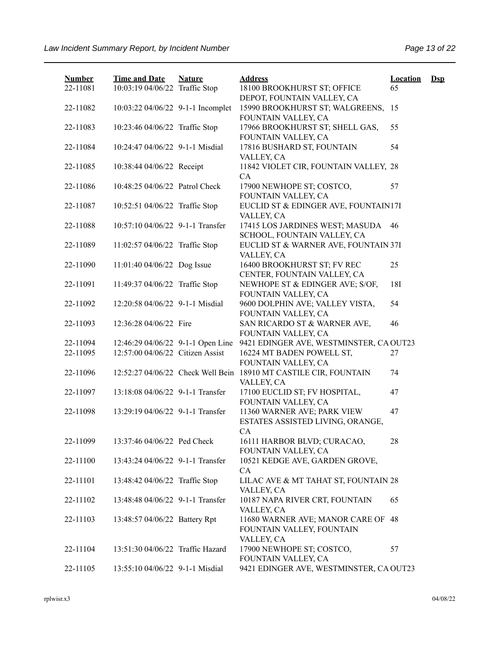| <b>Number</b> | <b>Time and Date</b>              | <b>Nature</b> | <b>Address</b>                                                             | <b>Location</b> | $\mathbf{Dsp}$ |
|---------------|-----------------------------------|---------------|----------------------------------------------------------------------------|-----------------|----------------|
| 22-11081      | 10:03:19 04/06/22 Traffic Stop    |               | 18100 BROOKHURST ST; OFFICE<br>DEPOT, FOUNTAIN VALLEY, CA                  | 65              |                |
| 22-11082      | 10:03:22 04/06/22 9-1-1 Incomplet |               | 15990 BROOKHURST ST; WALGREENS,<br>FOUNTAIN VALLEY, CA                     | 15              |                |
| 22-11083      | 10:23:46 04/06/22 Traffic Stop    |               | 17966 BROOKHURST ST; SHELL GAS,<br>FOUNTAIN VALLEY, CA                     | 55              |                |
| 22-11084      | 10:24:47 04/06/22 9-1-1 Misdial   |               | 17816 BUSHARD ST, FOUNTAIN<br>VALLEY, CA                                   | 54              |                |
| 22-11085      | 10:38:44 04/06/22 Receipt         |               | 11842 VIOLET CIR, FOUNTAIN VALLEY, 28<br>CA                                |                 |                |
| 22-11086      | 10:48:25 04/06/22 Patrol Check    |               | 17900 NEWHOPE ST; COSTCO,<br>FOUNTAIN VALLEY, CA                           | 57              |                |
| 22-11087      | 10:52:51 04/06/22 Traffic Stop    |               | EUCLID ST & EDINGER AVE, FOUNTAIN17I<br>VALLEY, CA                         |                 |                |
| 22-11088      | 10:57:10 04/06/22 9-1-1 Transfer  |               | 17415 LOS JARDINES WEST; MASUDA<br>SCHOOL, FOUNTAIN VALLEY, CA             | 46              |                |
| 22-11089      | 11:02:57 04/06/22 Traffic Stop    |               | EUCLID ST & WARNER AVE, FOUNTAIN 37I<br>VALLEY, CA                         |                 |                |
| 22-11090      | 11:01:40 04/06/22 Dog Issue       |               | 16400 BROOKHURST ST; FV REC<br>CENTER, FOUNTAIN VALLEY, CA                 | 25              |                |
| 22-11091      | 11:49:37 04/06/22 Traffic Stop    |               | NEWHOPE ST & EDINGER AVE; S/OF,<br>FOUNTAIN VALLEY, CA                     | 18I             |                |
| 22-11092      | 12:20:58 04/06/22 9-1-1 Misdial   |               | 9600 DOLPHIN AVE; VALLEY VISTA,<br>FOUNTAIN VALLEY, CA                     | 54              |                |
| 22-11093      | 12:36:28 04/06/22 Fire            |               | SAN RICARDO ST & WARNER AVE,<br>FOUNTAIN VALLEY, CA                        | 46              |                |
| 22-11094      | 12:46:29 04/06/22 9-1-1 Open Line |               | 9421 EDINGER AVE, WESTMINSTER, CA OUT23                                    |                 |                |
| 22-11095      | 12:57:00 04/06/22 Citizen Assist  |               | 16224 MT BADEN POWELL ST,<br>FOUNTAIN VALLEY, CA                           | 27              |                |
| 22-11096      | 12:52:27 04/06/22 Check Well Bein |               | 18910 MT CASTILE CIR, FOUNTAIN<br>VALLEY, CA                               | 74              |                |
| 22-11097      | 13:18:08 04/06/22 9-1-1 Transfer  |               | 17100 EUCLID ST; FV HOSPITAL,<br>FOUNTAIN VALLEY, CA                       | 47              |                |
| 22-11098      | 13:29:19 04/06/22 9-1-1 Transfer  |               | 11360 WARNER AVE; PARK VIEW<br>ESTATES ASSISTED LIVING, ORANGE,<br>CA      | 47              |                |
| 22-11099      | 13:37:46 04/06/22 Ped Check       |               | 16111 HARBOR BLVD; CURACAO,<br>FOUNTAIN VALLEY, CA                         | 28              |                |
| 22-11100      | 13:43:24 04/06/22 9-1-1 Transfer  |               | 10521 KEDGE AVE, GARDEN GROVE,<br>CA                                       |                 |                |
| 22-11101      | 13:48:42 04/06/22 Traffic Stop    |               | LILAC AVE & MT TAHAT ST, FOUNTAIN 28<br>VALLEY, CA                         |                 |                |
| 22-11102      | 13:48:48 04/06/22 9-1-1 Transfer  |               | 10187 NAPA RIVER CRT, FOUNTAIN<br>VALLEY, CA                               | 65              |                |
| 22-11103      | 13:48:57 04/06/22 Battery Rpt     |               | 11680 WARNER AVE; MANOR CARE OF<br>FOUNTAIN VALLEY, FOUNTAIN<br>VALLEY, CA | 48              |                |
| 22-11104      | 13:51:30 04/06/22 Traffic Hazard  |               | 17900 NEWHOPE ST; COSTCO,<br>FOUNTAIN VALLEY, CA                           | 57              |                |
| 22-11105      | 13:55:10 04/06/22 9-1-1 Misdial   |               | 9421 EDINGER AVE, WESTMINSTER, CA OUT23                                    |                 |                |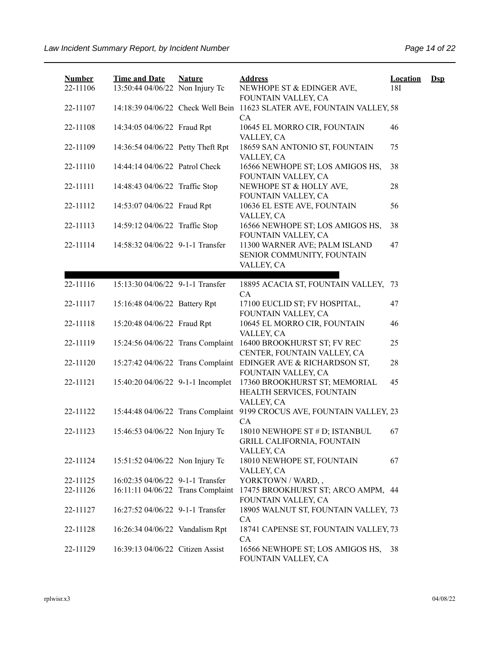| <b>Number</b><br>22-11106 | <b>Time and Date</b><br>13:50:44 04/06/22 Non Injury Tc | <b>Nature</b> | <b>Address</b><br>NEWHOPE ST & EDINGER AVE,<br>FOUNTAIN VALLEY, CA                | <b>Location</b><br>18I | $\mathbf{Dsp}$ |
|---------------------------|---------------------------------------------------------|---------------|-----------------------------------------------------------------------------------|------------------------|----------------|
| 22-11107                  | 14:18:39 04/06/22 Check Well Bein                       |               | 11623 SLATER AVE, FOUNTAIN VALLEY, 58<br>CA                                       |                        |                |
| 22-11108                  | 14:34:05 04/06/22 Fraud Rpt                             |               | 10645 EL MORRO CIR, FOUNTAIN<br>VALLEY, CA                                        | 46                     |                |
| 22-11109                  | 14:36:54 04/06/22 Petty Theft Rpt                       |               | 18659 SAN ANTONIO ST, FOUNTAIN<br>VALLEY, CA                                      | 75                     |                |
| 22-11110                  | 14:44:14 04/06/22 Patrol Check                          |               | 16566 NEWHOPE ST; LOS AMIGOS HS,<br>FOUNTAIN VALLEY, CA                           | 38                     |                |
| 22-11111                  | 14:48:43 04/06/22 Traffic Stop                          |               | NEWHOPE ST & HOLLY AVE,<br>FOUNTAIN VALLEY, CA                                    | 28                     |                |
| 22-11112                  | 14:53:07 04/06/22 Fraud Rpt                             |               | 10636 EL ESTE AVE, FOUNTAIN<br>VALLEY, CA                                         | 56                     |                |
| 22-11113                  | 14:59:12 04/06/22 Traffic Stop                          |               | 16566 NEWHOPE ST; LOS AMIGOS HS,<br>FOUNTAIN VALLEY, CA                           | 38                     |                |
| 22-11114                  | 14:58:32 04/06/22 9-1-1 Transfer                        |               | 11300 WARNER AVE; PALM ISLAND<br>SENIOR COMMUNITY, FOUNTAIN<br>VALLEY, CA         | 47                     |                |
|                           |                                                         |               |                                                                                   |                        |                |
| 22-11116                  | 15:13:30 04/06/22 9-1-1 Transfer                        |               | 18895 ACACIA ST, FOUNTAIN VALLEY, 73<br>CA                                        |                        |                |
| 22-11117                  | 15:16:48 04/06/22 Battery Rpt                           |               | 17100 EUCLID ST; FV HOSPITAL,<br>FOUNTAIN VALLEY, CA                              | 47                     |                |
| 22-11118                  | 15:20:48 04/06/22 Fraud Rpt                             |               | 10645 EL MORRO CIR, FOUNTAIN<br>VALLEY, CA                                        | 46                     |                |
| 22-11119                  | 15:24:56 04/06/22 Trans Complaint                       |               | 16400 BROOKHURST ST; FV REC<br>CENTER, FOUNTAIN VALLEY, CA                        | 25                     |                |
| 22-11120                  | 15:27:42 04/06/22 Trans Complaint                       |               | EDINGER AVE & RICHARDSON ST,<br>FOUNTAIN VALLEY, CA                               | 28                     |                |
| 22-11121                  | 15:40:20 04/06/22 9-1-1 Incomplet                       |               | 17360 BROOKHURST ST; MEMORIAL<br>HEALTH SERVICES, FOUNTAIN<br>VALLEY, CA          | 45                     |                |
| 22-11122                  | 15:44:48 04/06/22 Trans Complaint                       |               | 9199 CROCUS AVE, FOUNTAIN VALLEY, 23<br>CA                                        |                        |                |
| 22-11123                  | 15:46:53 04/06/22 Non Injury Tc                         |               | 18010 NEWHOPE ST # D; ISTANBUL<br><b>GRILL CALIFORNIA, FOUNTAIN</b><br>VALLEY, CA | 67                     |                |
| 22-11124                  | 15:51:52 04/06/22 Non Injury Tc                         |               | 18010 NEWHOPE ST, FOUNTAIN<br>VALLEY, CA                                          | 67                     |                |
| 22-11125                  | 16:02:35 04/06/22 9-1-1 Transfer                        |               | YORKTOWN / WARD,,                                                                 |                        |                |
| 22-11126                  | 16:11:11 04/06/22 Trans Complaint                       |               | 17475 BROOKHURST ST; ARCO AMPM, 44<br>FOUNTAIN VALLEY, CA                         |                        |                |
| 22-11127                  | 16:27:52 04/06/22 9-1-1 Transfer                        |               | 18905 WALNUT ST, FOUNTAIN VALLEY, 73<br>CA                                        |                        |                |
| 22-11128                  | 16:26:34 04/06/22 Vandalism Rpt                         |               | 18741 CAPENSE ST, FOUNTAIN VALLEY, 73<br>CA                                       |                        |                |
| 22-11129                  | 16:39:13 04/06/22 Citizen Assist                        |               | 16566 NEWHOPE ST; LOS AMIGOS HS,<br>FOUNTAIN VALLEY, CA                           | 38                     |                |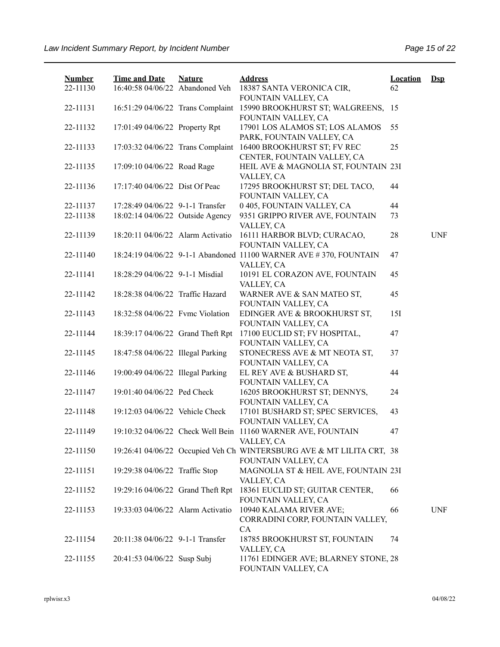| <b>Number</b><br>22-11130 | <b>Time and Date</b><br>16:40:58 04/06/22 Abandoned Veh | <b>Nature</b> | <b>Address</b><br>18387 SANTA VERONICA CIR,                                                                        | <b>Location</b><br>62 | $\mathbf{Dsp}$ |
|---------------------------|---------------------------------------------------------|---------------|--------------------------------------------------------------------------------------------------------------------|-----------------------|----------------|
| 22-11131                  |                                                         |               | FOUNTAIN VALLEY, CA<br>16:51:29 04/06/22 Trans Complaint 15990 BROOKHURST ST; WALGREENS, 15<br>FOUNTAIN VALLEY, CA |                       |                |
| 22-11132                  | 17:01:49 04/06/22 Property Rpt                          |               | 17901 LOS ALAMOS ST; LOS ALAMOS<br>PARK, FOUNTAIN VALLEY, CA                                                       | 55                    |                |
| 22-11133                  |                                                         |               | 17:03:32 04/06/22 Trans Complaint 16400 BROOKHURST ST; FV REC<br>CENTER, FOUNTAIN VALLEY, CA                       | 25                    |                |
| 22-11135                  | 17:09:10 04/06/22 Road Rage                             |               | HEIL AVE & MAGNOLIA ST, FOUNTAIN 23I<br>VALLEY, CA                                                                 |                       |                |
| 22-11136                  | 17:17:40 04/06/22 Dist Of Peac                          |               | 17295 BROOKHURST ST; DEL TACO,<br>FOUNTAIN VALLEY, CA                                                              | 44                    |                |
| 22-11137                  | 17:28:49 04/06/22 9-1-1 Transfer                        |               | 0 405, FOUNTAIN VALLEY, CA                                                                                         | 44                    |                |
| 22-11138                  | 18:02:14 04/06/22 Outside Agency                        |               | 9351 GRIPPO RIVER AVE, FOUNTAIN                                                                                    | 73                    |                |
|                           |                                                         |               | VALLEY, CA                                                                                                         |                       |                |
| 22-11139                  | 18:20:11 04/06/22 Alarm Activatio                       |               | 16111 HARBOR BLVD; CURACAO,<br>FOUNTAIN VALLEY, CA                                                                 | 28                    | <b>UNF</b>     |
| 22-11140                  |                                                         |               | 18:24:19 04/06/22 9-1-1 Abandoned 11100 WARNER AVE #370, FOUNTAIN                                                  | 47                    |                |
|                           |                                                         |               | VALLEY, CA                                                                                                         |                       |                |
| 22-11141                  | 18:28:29 04/06/22 9-1-1 Misdial                         |               | 10191 EL CORAZON AVE, FOUNTAIN                                                                                     | 45                    |                |
|                           |                                                         |               | VALLEY, CA                                                                                                         |                       |                |
| 22-11142                  | 18:28:38 04/06/22 Traffic Hazard                        |               | WARNER AVE & SAN MATEO ST,                                                                                         | 45                    |                |
|                           |                                                         |               |                                                                                                                    |                       |                |
|                           |                                                         |               | FOUNTAIN VALLEY, CA                                                                                                |                       |                |
| 22-11143                  | 18:32:58 04/06/22 Fvmc Violation                        |               | EDINGER AVE & BROOKHURST ST,                                                                                       | 15I                   |                |
|                           |                                                         |               | FOUNTAIN VALLEY, CA                                                                                                |                       |                |
| 22-11144                  | 18:39:17 04/06/22 Grand Theft Rpt                       |               | 17100 EUCLID ST; FV HOSPITAL,                                                                                      | 47                    |                |
|                           |                                                         |               | FOUNTAIN VALLEY, CA                                                                                                |                       |                |
| 22-11145                  | 18:47:58 04/06/22 Illegal Parking                       |               | STONECRESS AVE & MT NEOTA ST,                                                                                      | 37                    |                |
|                           |                                                         |               | FOUNTAIN VALLEY, CA                                                                                                |                       |                |
| 22-11146                  | 19:00:49 04/06/22 Illegal Parking                       |               | EL REY AVE & BUSHARD ST,                                                                                           | 44                    |                |
|                           |                                                         |               | FOUNTAIN VALLEY, CA                                                                                                |                       |                |
| 22-11147                  | 19:01:40 04/06/22 Ped Check                             |               | 16205 BROOKHURST ST; DENNYS,                                                                                       | 24                    |                |
|                           |                                                         |               | FOUNTAIN VALLEY, CA                                                                                                |                       |                |
| 22-11148                  | 19:12:03 04/06/22 Vehicle Check                         |               | 17101 BUSHARD ST; SPEC SERVICES,                                                                                   | 43                    |                |
|                           |                                                         |               | FOUNTAIN VALLEY, CA                                                                                                |                       |                |
| 22-11149                  |                                                         |               | 19:10:32 04/06/22 Check Well Bein 11160 WARNER AVE, FOUNTAIN                                                       | 47                    |                |
|                           |                                                         |               | VALLEY, CA                                                                                                         |                       |                |
| 22-11150                  |                                                         |               | 19:26:41 04/06/22 Occupied Veh Ch WINTERSBURG AVE & MT LILITA CRT, 38                                              |                       |                |
|                           |                                                         |               | FOUNTAIN VALLEY, CA                                                                                                |                       |                |
| 22-11151                  | 19:29:38 04/06/22 Traffic Stop                          |               | MAGNOLIA ST & HEIL AVE, FOUNTAIN 23I                                                                               |                       |                |
|                           |                                                         |               | VALLEY, CA                                                                                                         |                       |                |
| 22-11152                  | 19:29:16 04/06/22 Grand Theft Rpt                       |               | 18361 EUCLID ST; GUITAR CENTER,                                                                                    | 66                    |                |
|                           |                                                         |               | FOUNTAIN VALLEY, CA                                                                                                |                       |                |
| 22-11153                  | 19:33:03 04/06/22 Alarm Activatio                       |               | 10940 KALAMA RIVER AVE;                                                                                            | 66                    | <b>UNF</b>     |
|                           |                                                         |               | CORRADINI CORP, FOUNTAIN VALLEY,                                                                                   |                       |                |
|                           |                                                         |               | CA                                                                                                                 |                       |                |
| 22-11154                  | 20:11:38 04/06/22 9-1-1 Transfer                        |               | 18785 BROOKHURST ST, FOUNTAIN                                                                                      | 74                    |                |
|                           |                                                         |               | VALLEY, CA                                                                                                         |                       |                |
| 22-11155                  | 20:41:53 04/06/22 Susp Subj                             |               | 11761 EDINGER AVE; BLARNEY STONE, 28<br>FOUNTAIN VALLEY, CA                                                        |                       |                |
|                           |                                                         |               |                                                                                                                    |                       |                |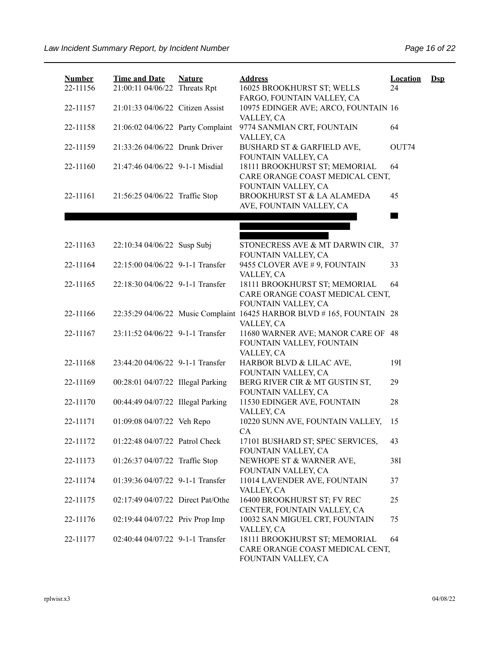| <b>Number</b><br>22-11156 | <b>Time and Date</b><br>21:00:11 04/06/22 Threats Rpt | <b>Nature</b> | <b>Address</b><br>16025 BROOKHURST ST; WELLS                                            | <b>Location</b><br>24 | $\mathbf{Dsp}$ |
|---------------------------|-------------------------------------------------------|---------------|-----------------------------------------------------------------------------------------|-----------------------|----------------|
| 22-11157                  | 21:01:33 04/06/22 Citizen Assist                      |               | FARGO, FOUNTAIN VALLEY, CA<br>10975 EDINGER AVE; ARCO, FOUNTAIN 16<br>VALLEY, CA        |                       |                |
| 22-11158                  | 21:06:02 04/06/22 Party Complaint                     |               | 9774 SANMIAN CRT, FOUNTAIN<br>VALLEY, CA                                                | 64                    |                |
| 22-11159                  | 21:33:26 04/06/22 Drunk Driver                        |               | BUSHARD ST & GARFIELD AVE,<br>FOUNTAIN VALLEY, CA                                       | OUT74                 |                |
| 22-11160                  | 21:47:46 04/06/22 9-1-1 Misdial                       |               | 18111 BROOKHURST ST; MEMORIAL<br>CARE ORANGE COAST MEDICAL CENT,<br>FOUNTAIN VALLEY, CA | 64                    |                |
| 22-11161                  | 21:56:25 04/06/22 Traffic Stop                        |               | BROOKHURST ST & LA ALAMEDA<br>AVE, FOUNTAIN VALLEY, CA                                  | 45                    |                |
|                           |                                                       |               |                                                                                         |                       |                |
|                           |                                                       |               |                                                                                         |                       |                |
| 22-11163                  | 22:10:34 04/06/22 Susp Subj                           |               | STONECRESS AVE & MT DARWIN CIR, 37                                                      |                       |                |
|                           |                                                       |               | FOUNTAIN VALLEY, CA                                                                     |                       |                |
| 22-11164                  | 22:15:00 04/06/22 9-1-1 Transfer                      |               | 9455 CLOVER AVE #9, FOUNTAIN                                                            | 33                    |                |
|                           |                                                       |               | VALLEY, CA                                                                              |                       |                |
| 22-11165                  | 22:18:30 04/06/22 9-1-1 Transfer                      |               | 18111 BROOKHURST ST; MEMORIAL                                                           | 64                    |                |
|                           |                                                       |               | CARE ORANGE COAST MEDICAL CENT,                                                         |                       |                |
|                           |                                                       |               | FOUNTAIN VALLEY, CA                                                                     |                       |                |
| 22-11166                  |                                                       |               | 22:35:29 04/06/22 Music Complaint 16425 HARBOR BLVD #165, FOUNTAIN 28                   |                       |                |
| 22-11167                  | 23:11:52 04/06/22 9-1-1 Transfer                      |               | VALLEY, CA<br>11680 WARNER AVE; MANOR CARE OF 48                                        |                       |                |
|                           |                                                       |               | FOUNTAIN VALLEY, FOUNTAIN                                                               |                       |                |
|                           |                                                       |               | VALLEY, CA                                                                              |                       |                |
| 22-11168                  | 23:44:20 04/06/22 9-1-1 Transfer                      |               | HARBOR BLVD & LILAC AVE,                                                                | 19I                   |                |
|                           |                                                       |               | FOUNTAIN VALLEY, CA                                                                     |                       |                |
| 22-11169                  | 00:28:01 04/07/22 Illegal Parking                     |               | BERG RIVER CIR & MT GUSTIN ST,                                                          | 29                    |                |
|                           |                                                       |               | FOUNTAIN VALLEY, CA                                                                     |                       |                |
| 22-11170                  | 00:44:49 04/07/22 Illegal Parking                     |               | 11530 EDINGER AVE, FOUNTAIN                                                             | 28                    |                |
|                           |                                                       |               | VALLEY, CA                                                                              |                       |                |
| 22-11171                  | 01:09:08 04/07/22 Veh Repo                            |               | 10220 SUNN AVE, FOUNTAIN VALLEY,                                                        | 15                    |                |
|                           |                                                       |               | CA                                                                                      |                       |                |
| 22-11172                  | 01:22:48 04/07/22 Patrol Check                        |               | 17101 BUSHARD ST; SPEC SERVICES,                                                        | 43                    |                |
|                           |                                                       |               | FOUNTAIN VALLEY, CA                                                                     |                       |                |
| 22-11173                  | 01:26:37 04/07/22 Traffic Stop                        |               | NEWHOPE ST & WARNER AVE,                                                                | 38I                   |                |
|                           |                                                       |               | FOUNTAIN VALLEY, CA                                                                     |                       |                |
| 22-11174                  | 01:39:36 04/07/22 9-1-1 Transfer                      |               | 11014 LAVENDER AVE, FOUNTAIN                                                            | 37                    |                |
|                           |                                                       |               | VALLEY, CA                                                                              |                       |                |
| 22-11175                  | 02:17:49 04/07/22 Direct Pat/Othe                     |               | 16400 BROOKHURST ST; FV REC<br>CENTER, FOUNTAIN VALLEY, CA                              | 25                    |                |
| 22-11176                  | 02:19:44 04/07/22 Priv Prop Imp                       |               | 10032 SAN MIGUEL CRT, FOUNTAIN                                                          | 75                    |                |
|                           |                                                       |               | VALLEY, CA                                                                              |                       |                |
| 22-11177                  | 02:40:44 04/07/22 9-1-1 Transfer                      |               | 18111 BROOKHURST ST; MEMORIAL                                                           | 64                    |                |
|                           |                                                       |               | CARE ORANGE COAST MEDICAL CENT,                                                         |                       |                |
|                           |                                                       |               | FOUNTAIN VALLEY, CA                                                                     |                       |                |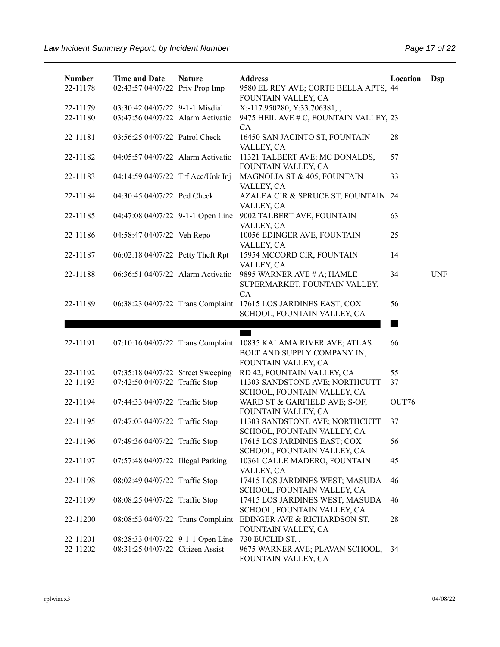| <b>Number</b><br>22-11178 | <b>Time and Date</b><br>02:43:57 04/07/22 Priv Prop Imp             | <b>Nature</b> | <b>Address</b><br>9580 EL REY AVE; CORTE BELLA APTS, 44<br>FOUNTAIN VALLEY, CA              | <b>Location</b> | $Dep$      |
|---------------------------|---------------------------------------------------------------------|---------------|---------------------------------------------------------------------------------------------|-----------------|------------|
| 22-11179                  | 03:30:42 04/07/22 9-1-1 Misdial                                     |               | X:-117.950280, Y:33.706381,,                                                                |                 |            |
| 22-11180                  | 03:47:56 04/07/22 Alarm Activatio                                   |               | 9475 HEIL AVE # C, FOUNTAIN VALLEY, 23<br>CA                                                |                 |            |
| 22-11181                  | 03:56:25 04/07/22 Patrol Check                                      |               | 16450 SAN JACINTO ST, FOUNTAIN<br>VALLEY, CA                                                | 28              |            |
| 22-11182                  | 04:05:57 04/07/22 Alarm Activatio                                   |               | 11321 TALBERT AVE; MC DONALDS,<br>FOUNTAIN VALLEY, CA                                       | 57              |            |
| 22-11183                  | 04:14:59 04/07/22 Trf Acc/Unk Inj                                   |               | MAGNOLIA ST & 405, FOUNTAIN<br>VALLEY, CA                                                   | 33              |            |
| 22-11184                  | 04:30:45 04/07/22 Ped Check                                         |               | AZALEA CIR & SPRUCE ST, FOUNTAIN 24<br>VALLEY, CA                                           |                 |            |
| 22-11185                  | 04:47:08 04/07/22 9-1-1 Open Line                                   |               | 9002 TALBERT AVE, FOUNTAIN<br>VALLEY, CA                                                    | 63              |            |
| 22-11186                  | 04:58:47 04/07/22 Veh Repo                                          |               | 10056 EDINGER AVE, FOUNTAIN<br>VALLEY, CA                                                   | 25              |            |
| 22-11187                  | 06:02:18 04/07/22 Petty Theft Rpt                                   |               | 15954 MCCORD CIR, FOUNTAIN<br>VALLEY, CA                                                    | 14              |            |
| 22-11188                  | 06:36:51 04/07/22 Alarm Activatio                                   |               | 9895 WARNER AVE # A; HAMLE<br>SUPERMARKET, FOUNTAIN VALLEY,<br><b>CA</b>                    | 34              | <b>UNF</b> |
| 22-11189                  | 06:38:23 04/07/22 Trans Complaint                                   |               | 17615 LOS JARDINES EAST; COX<br>SCHOOL, FOUNTAIN VALLEY, CA                                 | 56              |            |
|                           |                                                                     |               |                                                                                             |                 |            |
|                           |                                                                     |               |                                                                                             |                 |            |
| 22-11191                  | 07:10:16 04/07/22 Trans Complaint                                   |               | 10835 KALAMA RIVER AVE; ATLAS<br>BOLT AND SUPPLY COMPANY IN,                                | 66              |            |
|                           |                                                                     |               | FOUNTAIN VALLEY, CA                                                                         |                 |            |
| 22-11192<br>22-11193      | 07:35:18 04/07/22 Street Sweeping<br>07:42:50 04/07/22 Traffic Stop |               | RD 42, FOUNTAIN VALLEY, CA<br>11303 SANDSTONE AVE; NORTHCUTT<br>SCHOOL, FOUNTAIN VALLEY, CA | 55<br>37        |            |
| 22-11194                  | 07:44:33 04/07/22 Traffic Stop                                      |               | WARD ST & GARFIELD AVE; S-OF,<br>FOUNTAIN VALLEY, CA                                        | OUT76           |            |
| 22-11195                  | 07:47:03 04/07/22 Traffic Stop                                      |               | 11303 SANDSTONE AVE; NORTHCUTT<br>SCHOOL, FOUNTAIN VALLEY, CA                               | 37              |            |
| 22-11196                  | 07:49:36 04/07/22 Traffic Stop                                      |               | 17615 LOS JARDINES EAST; COX<br>SCHOOL, FOUNTAIN VALLEY, CA                                 | 56              |            |
| 22-11197                  | 07:57:48 04/07/22 Illegal Parking                                   |               | 10361 CALLE MADERO, FOUNTAIN<br>VALLEY, CA                                                  | 45              |            |
| 22-11198                  | 08:02:49 04/07/22 Traffic Stop                                      |               | 17415 LOS JARDINES WEST; MASUDA<br>SCHOOL, FOUNTAIN VALLEY, CA                              | 46              |            |
| 22-11199                  | 08:08:25 04/07/22 Traffic Stop                                      |               | 17415 LOS JARDINES WEST; MASUDA<br>SCHOOL, FOUNTAIN VALLEY, CA                              | 46              |            |
| 22-11200                  | 08:08:53 04/07/22 Trans Complaint                                   |               | EDINGER AVE & RICHARDSON ST,<br>FOUNTAIN VALLEY, CA                                         | 28              |            |
| 22-11201                  | 08:28:33 04/07/22 9-1-1 Open Line                                   |               | 730 EUCLID ST,,                                                                             |                 |            |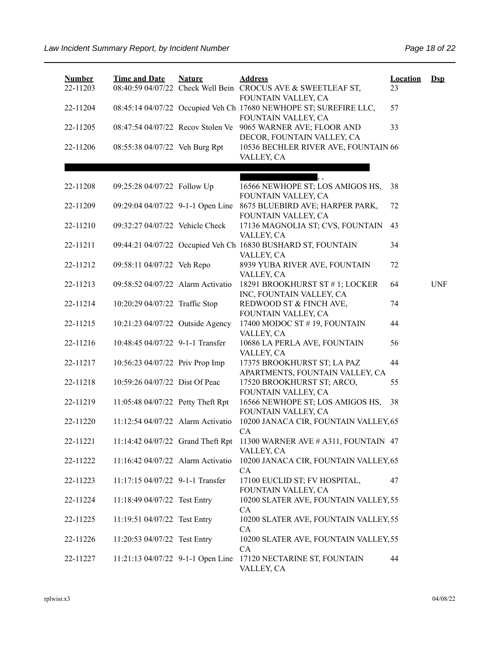| <b>Number</b><br>22-11203 | <b>Time and Date</b>              | <b>Nature</b> | <b>Address</b><br>08:40:59 04/07/22 Check Well Bein CROCUS AVE & SWEETLEAF ST,<br>FOUNTAIN VALLEY, CA | <b>Location</b><br>23 | $\mathbf{Dsp}$ |
|---------------------------|-----------------------------------|---------------|-------------------------------------------------------------------------------------------------------|-----------------------|----------------|
| 22-11204                  |                                   |               | 08:45:14 04/07/22 Occupied Veh Ch 17680 NEWHOPE ST; SUREFIRE LLC,<br>FOUNTAIN VALLEY, CA              | 57                    |                |
| 22-11205                  |                                   |               | 08:47:54 04/07/22 Recov Stolen Ve 9065 WARNER AVE; FLOOR AND<br>DECOR, FOUNTAIN VALLEY, CA            | 33                    |                |
| 22-11206                  | 08:55:38 04/07/22 Veh Burg Rpt    |               | 10536 BECHLER RIVER AVE, FOUNTAIN 66<br>VALLEY, CA                                                    |                       |                |
|                           |                                   |               |                                                                                                       |                       |                |
| 22-11208                  | 09:25:28 04/07/22 Follow Up       |               | 16566 NEWHOPE ST; LOS AMIGOS HS,<br>FOUNTAIN VALLEY, CA                                               | 38                    |                |
| 22-11209                  | 09:29:04 04/07/22 9-1-1 Open Line |               | 8675 BLUEBIRD AVE; HARPER PARK,<br>FOUNTAIN VALLEY, CA                                                | 72                    |                |
| 22-11210                  | 09:32:27 04/07/22 Vehicle Check   |               | 17136 MAGNOLIA ST; CVS, FOUNTAIN<br>VALLEY, CA                                                        | 43                    |                |
| 22-11211                  |                                   |               | 09:44:21 04/07/22 Occupied Veh Ch 16830 BUSHARD ST, FOUNTAIN<br>VALLEY, CA                            | 34                    |                |
| 22-11212                  | 09:58:11 04/07/22 Veh Repo        |               | 8939 YUBA RIVER AVE, FOUNTAIN<br>VALLEY, CA                                                           | 72                    |                |
| 22-11213                  | 09:58:52 04/07/22 Alarm Activatio |               | 18291 BROOKHURST ST #1; LOCKER<br>INC, FOUNTAIN VALLEY, CA                                            | 64                    | <b>UNF</b>     |
| 22-11214                  | 10:20:29 04/07/22 Traffic Stop    |               | REDWOOD ST & FINCH AVE,<br>FOUNTAIN VALLEY, CA                                                        | 74                    |                |
| 22-11215                  | 10:21:23 04/07/22 Outside Agency  |               | 17400 MODOC ST #19, FOUNTAIN<br>VALLEY, CA                                                            | 44                    |                |
| 22-11216                  | 10:48:45 04/07/22 9-1-1 Transfer  |               | 10686 LA PERLA AVE, FOUNTAIN<br>VALLEY, CA                                                            | 56                    |                |
| 22-11217                  | 10:56:23 04/07/22 Priv Prop Imp   |               | 17375 BROOKHURST ST; LA PAZ<br>APARTMENTS, FOUNTAIN VALLEY, CA                                        | 44                    |                |
| 22-11218                  | 10:59:26 04/07/22 Dist Of Peac    |               | 17520 BROOKHURST ST; ARCO,<br>FOUNTAIN VALLEY, CA                                                     | 55                    |                |
| 22-11219                  | 11:05:48 04/07/22 Petty Theft Rpt |               | 16566 NEWHOPE ST; LOS AMIGOS HS,<br>FOUNTAIN VALLEY, CA                                               | 38                    |                |
| 22-11220                  | 11:12:54 04/07/22 Alarm Activatio |               | 10200 JANACA CIR, FOUNTAIN VALLEY, 65<br>CA                                                           |                       |                |
| 22-11221                  | 11:14:42 04/07/22 Grand Theft Rpt |               | 11300 WARNER AVE # A311, FOUNTAIN 47<br>VALLEY, CA                                                    |                       |                |
| 22-11222                  | 11:16:42 04/07/22 Alarm Activatio |               | 10200 JANACA CIR, FOUNTAIN VALLEY, 65<br>CA                                                           |                       |                |
| 22-11223                  | 11:17:15 04/07/22 9-1-1 Transfer  |               | 17100 EUCLID ST; FV HOSPITAL,<br>FOUNTAIN VALLEY, CA                                                  | 47                    |                |
| 22-11224                  | 11:18:49 04/07/22 Test Entry      |               | 10200 SLATER AVE, FOUNTAIN VALLEY, 55<br>CA                                                           |                       |                |
| 22-11225                  | 11:19:51 04/07/22 Test Entry      |               | 10200 SLATER AVE, FOUNTAIN VALLEY, 55<br>CA                                                           |                       |                |
| 22-11226                  | 11:20:53 04/07/22 Test Entry      |               | 10200 SLATER AVE, FOUNTAIN VALLEY, 55<br>CA                                                           |                       |                |
| 22-11227                  | 11:21:13 04/07/22 9-1-1 Open Line |               | 17120 NECTARINE ST, FOUNTAIN<br>VALLEY, CA                                                            | 44                    |                |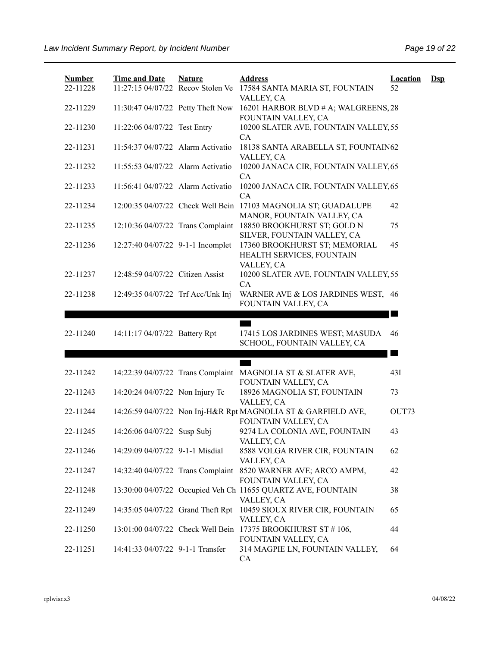| <b>Number</b> | <b>Time and Date</b>              | <b>Nature</b> | <b>Address</b>                                                                       | <b>Location</b> | $\mathbf{Dsp}$ |
|---------------|-----------------------------------|---------------|--------------------------------------------------------------------------------------|-----------------|----------------|
| 22-11228      | 11:27:15 04/07/22 Recov Stolen Ve |               | 17584 SANTA MARIA ST, FOUNTAIN<br>VALLEY, CA                                         | 52              |                |
| 22-11229      | 11:30:47 04/07/22 Petty Theft Now |               | 16201 HARBOR BLVD # A; WALGREENS, 28<br>FOUNTAIN VALLEY, CA                          |                 |                |
| 22-11230      | 11:22:06 04/07/22 Test Entry      |               | 10200 SLATER AVE, FOUNTAIN VALLEY, 55<br>CA                                          |                 |                |
| 22-11231      | 11:54:37 04/07/22 Alarm Activatio |               | 18138 SANTA ARABELLA ST, FOUNTAIN62<br>VALLEY, CA                                    |                 |                |
| 22-11232      | 11:55:53 04/07/22 Alarm Activatio |               | 10200 JANACA CIR, FOUNTAIN VALLEY, 65<br>CA                                          |                 |                |
| 22-11233      | 11:56:41 04/07/22 Alarm Activatio |               | 10200 JANACA CIR, FOUNTAIN VALLEY, 65<br>CA                                          |                 |                |
| 22-11234      | 12:00:35 04/07/22 Check Well Bein |               | 17103 MAGNOLIA ST; GUADALUPE<br>MANOR, FOUNTAIN VALLEY, CA                           | 42              |                |
| 22-11235      | 12:10:36 04/07/22 Trans Complaint |               | 18850 BROOKHURST ST; GOLD N<br>SILVER, FOUNTAIN VALLEY, CA                           | 75              |                |
| 22-11236      | 12:27:40 04/07/22 9-1-1 Incomplet |               | 17360 BROOKHURST ST; MEMORIAL<br>HEALTH SERVICES, FOUNTAIN<br>VALLEY, CA             | 45              |                |
| 22-11237      | 12:48:59 04/07/22 Citizen Assist  |               | 10200 SLATER AVE, FOUNTAIN VALLEY, 55<br>CA                                          |                 |                |
| 22-11238      | 12:49:35 04/07/22 Trf Acc/Unk Inj |               | WARNER AVE & LOS JARDINES WEST, 46<br>FOUNTAIN VALLEY, CA                            |                 |                |
|               |                                   |               |                                                                                      |                 |                |
| 22-11240      | 14:11:17 04/07/22 Battery Rpt     |               | 17415 LOS JARDINES WEST; MASUDA<br>SCHOOL, FOUNTAIN VALLEY, CA                       | 46              |                |
|               |                                   |               |                                                                                      | a s             |                |
| 22-11242      |                                   |               | 14:22:39 04/07/22 Trans Complaint MAGNOLIA ST & SLATER AVE,<br>FOUNTAIN VALLEY, CA   | 43I             |                |
| 22-11243      | 14:20:24 04/07/22 Non Injury Tc   |               | 18926 MAGNOLIA ST, FOUNTAIN<br>VALLEY, CA                                            | 73              |                |
| 22-11244      |                                   |               | 14:26:59 04/07/22 Non Inj-H&R Rpt MAGNOLIA ST & GARFIELD AVE,<br>FOUNTAIN VALLEY, CA | OUT73           |                |
| 22-11245      | 14:26:06 04/07/22 Susp Subj       |               | 9274 LA COLONIA AVE, FOUNTAIN<br>VALLEY, CA                                          | 43              |                |
| 22-11246      | 14:29:09 04/07/22 9-1-1 Misdial   |               | 8588 VOLGA RIVER CIR, FOUNTAIN<br>VALLEY, CA                                         | 62              |                |
| 22-11247      |                                   |               | 14:32:40 04/07/22 Trans Complaint 8520 WARNER AVE; ARCO AMPM,<br>FOUNTAIN VALLEY, CA | 42              |                |
| 22-11248      |                                   |               | 13:30:00 04/07/22 Occupied Veh Ch 11655 QUARTZ AVE, FOUNTAIN<br>VALLEY, CA           | 38              |                |
| 22-11249      | 14:35:05 04/07/22 Grand Theft Rpt |               | 10459 SIOUX RIVER CIR, FOUNTAIN<br>VALLEY, CA                                        | 65              |                |
| 22-11250      |                                   |               | 13:01:00 04/07/22 Check Well Bein 17375 BROOKHURST ST #106,<br>FOUNTAIN VALLEY, CA   | 44              |                |
| 22-11251      | 14:41:33 04/07/22 9-1-1 Transfer  |               | 314 MAGPIE LN, FOUNTAIN VALLEY,<br>CA                                                | 64              |                |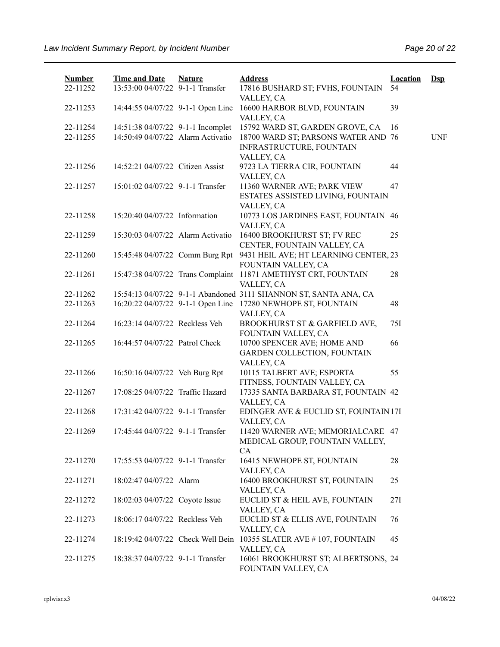| <b>Number</b><br>22-11252 | <b>Time and Date</b><br>13:53:00 04/07/22 9-1-1 Transfer | <b>Nature</b> | <b>Address</b><br>17816 BUSHARD ST; FVHS, FOUNTAIN                   | <b>Location</b><br>54 | $\mathbf{Dsp}$ |
|---------------------------|----------------------------------------------------------|---------------|----------------------------------------------------------------------|-----------------------|----------------|
|                           |                                                          |               | VALLEY, CA                                                           |                       |                |
| 22-11253                  | 14:44:55 04/07/22 9-1-1 Open Line                        |               | 16600 HARBOR BLVD, FOUNTAIN<br>VALLEY, CA                            | 39                    |                |
| 22-11254                  | 14:51:38 04/07/22 9-1-1 Incomplet                        |               | 15792 WARD ST, GARDEN GROVE, CA                                      | 16                    |                |
| 22-11255                  | 14:50:49 04/07/22 Alarm Activatio                        |               | 18700 WARD ST; PARSONS WATER AND 76<br>INFRASTRUCTURE, FOUNTAIN      |                       | <b>UNF</b>     |
| 22-11256                  | 14:52:21 04/07/22 Citizen Assist                         |               | VALLEY, CA<br>9723 LA TIERRA CIR, FOUNTAIN<br>VALLEY, CA             | 44                    |                |
| 22-11257                  | 15:01:02 04/07/22 9-1-1 Transfer                         |               | 11360 WARNER AVE; PARK VIEW<br>ESTATES ASSISTED LIVING, FOUNTAIN     | 47                    |                |
| 22-11258                  | 15:20:40 04/07/22 Information                            |               | VALLEY, CA<br>10773 LOS JARDINES EAST, FOUNTAIN 46<br>VALLEY, CA     |                       |                |
| 22-11259                  | 15:30:03 04/07/22 Alarm Activatio                        |               | 16400 BROOKHURST ST; FV REC                                          | 25                    |                |
|                           |                                                          |               | CENTER, FOUNTAIN VALLEY, CA                                          |                       |                |
| 22-11260                  | 15:45:48 04/07/22 Comm Burg Rpt                          |               | 9431 HEIL AVE; HT LEARNING CENTER, 23<br>FOUNTAIN VALLEY, CA         |                       |                |
| 22-11261                  | 15:47:38 04/07/22 Trans Complaint                        |               | 11871 AMETHYST CRT, FOUNTAIN                                         | 28                    |                |
|                           |                                                          |               | VALLEY, CA                                                           |                       |                |
| 22-11262                  |                                                          |               | 15:54:13 04/07/22 9-1-1 Abandoned 3111 SHANNON ST, SANTA ANA, CA     |                       |                |
| 22-11263                  | 16:20:22 04/07/22 9-1-1 Open Line                        |               | 17280 NEWHOPE ST, FOUNTAIN                                           | 48                    |                |
| 22-11264                  | 16:23:14 04/07/22 Reckless Veh                           |               | VALLEY, CA<br>BROOKHURST ST & GARFIELD AVE,<br>FOUNTAIN VALLEY, CA   | 75I                   |                |
| 22-11265                  | 16:44:57 04/07/22 Patrol Check                           |               | 10700 SPENCER AVE; HOME AND<br><b>GARDEN COLLECTION, FOUNTAIN</b>    | 66                    |                |
|                           |                                                          |               | VALLEY, CA                                                           |                       |                |
| 22-11266                  | 16:50:16 04/07/22 Veh Burg Rpt                           |               | 10115 TALBERT AVE; ESPORTA<br>FITNESS, FOUNTAIN VALLEY, CA           | 55                    |                |
| 22-11267                  | 17:08:25 04/07/22 Traffic Hazard                         |               | 17335 SANTA BARBARA ST, FOUNTAIN 42<br>VALLEY, CA                    |                       |                |
| 22-11268                  | 17:31:42 04/07/22 9-1-1 Transfer                         |               | EDINGER AVE & EUCLID ST, FOUNTAIN 17I<br>VALLEY, CA                  |                       |                |
| 22-11269                  | 17:45:44 04/07/22 9-1-1 Transfer                         |               | 11420 WARNER AVE; MEMORIALCARE 47<br>MEDICAL GROUP, FOUNTAIN VALLEY, |                       |                |
| 22-11270                  | 17:55:53 04/07/22 9-1-1 Transfer                         |               | CA<br>16415 NEWHOPE ST, FOUNTAIN<br>VALLEY, CA                       | 28                    |                |
| 22-11271                  | 18:02:47 04/07/22 Alarm                                  |               | 16400 BROOKHURST ST, FOUNTAIN<br>VALLEY, CA                          | 25                    |                |
| 22-11272                  | 18:02:03 04/07/22 Coyote Issue                           |               | EUCLID ST & HEIL AVE, FOUNTAIN<br>VALLEY, CA                         | 27I                   |                |
| 22-11273                  | 18:06:17 04/07/22 Reckless Veh                           |               | EUCLID ST & ELLIS AVE, FOUNTAIN<br>VALLEY, CA                        | 76                    |                |
| 22-11274                  | 18:19:42 04/07/22 Check Well Bein                        |               | 10355 SLATER AVE #107, FOUNTAIN<br>VALLEY, CA                        | 45                    |                |
| 22-11275                  | 18:38:37 04/07/22 9-1-1 Transfer                         |               | 16061 BROOKHURST ST; ALBERTSONS, 24<br>FOUNTAIN VALLEY, CA           |                       |                |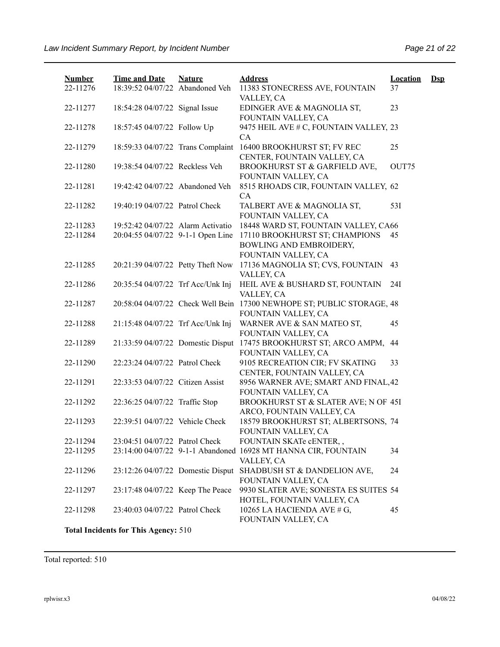| <b>Number</b> | <b>Time and Date</b>                        | <b>Nature</b> | <b>Address</b>                                                               | <b>Location</b> | $\mathbf{Dsp}$ |
|---------------|---------------------------------------------|---------------|------------------------------------------------------------------------------|-----------------|----------------|
| 22-11276      | 18:39:52 04/07/22 Abandoned Veh             |               | 11383 STONECRESS AVE, FOUNTAIN<br>VALLEY, CA                                 | 37              |                |
| 22-11277      | 18:54:28 04/07/22 Signal Issue              |               | EDINGER AVE & MAGNOLIA ST,<br>FOUNTAIN VALLEY, CA                            | 23              |                |
| 22-11278      | 18:57:45 04/07/22 Follow Up                 |               | 9475 HEIL AVE # C, FOUNTAIN VALLEY, 23<br><b>CA</b>                          |                 |                |
| 22-11279      | 18:59:33 04/07/22 Trans Complaint           |               | 16400 BROOKHURST ST; FV REC<br>CENTER, FOUNTAIN VALLEY, CA                   | 25              |                |
| 22-11280      | 19:38:54 04/07/22 Reckless Veh              |               | BROOKHURST ST & GARFIELD AVE,<br>FOUNTAIN VALLEY, CA                         | OUT75           |                |
| 22-11281      | 19:42:42 04/07/22 Abandoned Veh             |               | 8515 RHOADS CIR, FOUNTAIN VALLEY, 62<br><b>CA</b>                            |                 |                |
| 22-11282      | 19:40:19 04/07/22 Patrol Check              |               | TALBERT AVE & MAGNOLIA ST,<br>FOUNTAIN VALLEY, CA                            | 53I             |                |
| 22-11283      | 19:52:42 04/07/22 Alarm Activatio           |               | 18448 WARD ST, FOUNTAIN VALLEY, CA66                                         |                 |                |
| 22-11284      | 20:04:55 04/07/22 9-1-1 Open Line           |               | 17110 BROOKHURST ST; CHAMPIONS<br>BOWLING AND EMBROIDERY,                    | 45              |                |
|               |                                             |               | FOUNTAIN VALLEY, CA                                                          |                 |                |
| 22-11285      | 20:21:39 04/07/22 Petty Theft Now           |               | 17136 MAGNOLIA ST; CVS, FOUNTAIN<br>VALLEY, CA                               | 43              |                |
| 22-11286      | 20:35:54 04/07/22 Trf Acc/Unk Inj           |               | HEIL AVE & BUSHARD ST, FOUNTAIN<br>VALLEY, CA                                | 24I             |                |
| 22-11287      | 20:58:04 04/07/22 Check Well Bein           |               | 17300 NEWHOPE ST; PUBLIC STORAGE, 48<br>FOUNTAIN VALLEY, CA                  |                 |                |
| 22-11288      | 21:15:48 04/07/22 Trf Acc/Unk Inj           |               | WARNER AVE & SAN MATEO ST,<br>FOUNTAIN VALLEY, CA                            | 45              |                |
| 22-11289      | 21:33:59 04/07/22 Domestic Disput           |               | 17475 BROOKHURST ST; ARCO AMPM,<br>FOUNTAIN VALLEY, CA                       | 44              |                |
| 22-11290      | 22:23:24 04/07/22 Patrol Check              |               | 9105 RECREATION CIR; FV SKATING<br>CENTER, FOUNTAIN VALLEY, CA               | 33              |                |
| 22-11291      | 22:33:53 04/07/22 Citizen Assist            |               | 8956 WARNER AVE; SMART AND FINAL, 42<br>FOUNTAIN VALLEY, CA                  |                 |                |
| 22-11292      | 22:36:25 04/07/22 Traffic Stop              |               | BROOKHURST ST & SLATER AVE; N OF 45I<br>ARCO, FOUNTAIN VALLEY, CA            |                 |                |
| 22-11293      | 22:39:51 04/07/22 Vehicle Check             |               | 18579 BROOKHURST ST; ALBERTSONS, 74<br>FOUNTAIN VALLEY, CA                   |                 |                |
| 22-11294      | 23:04:51 04/07/22 Patrol Check              |               | FOUNTAIN SKATe cENTER,,                                                      |                 |                |
| 22-11295      |                                             |               | 23:14:00 04/07/22 9-1-1 Abandoned 16928 MT HANNA CIR, FOUNTAIN<br>VALLEY, CA | 34              |                |
| 22-11296      | 23:12:26 04/07/22 Domestic Disput           |               | SHADBUSH ST & DANDELION AVE,<br>FOUNTAIN VALLEY, CA                          | 24              |                |
| 22-11297      | 23:17:48 04/07/22 Keep The Peace            |               | 9930 SLATER AVE; SONESTA ES SUITES 54<br>HOTEL, FOUNTAIN VALLEY, CA          |                 |                |
| 22-11298      | 23:40:03 04/07/22 Patrol Check              |               | 10265 LA HACIENDA AVE # G,<br>FOUNTAIN VALLEY, CA                            | 45              |                |
|               | <b>Total Incidents for This Agency: 510</b> |               |                                                                              |                 |                |

Total reported: 510